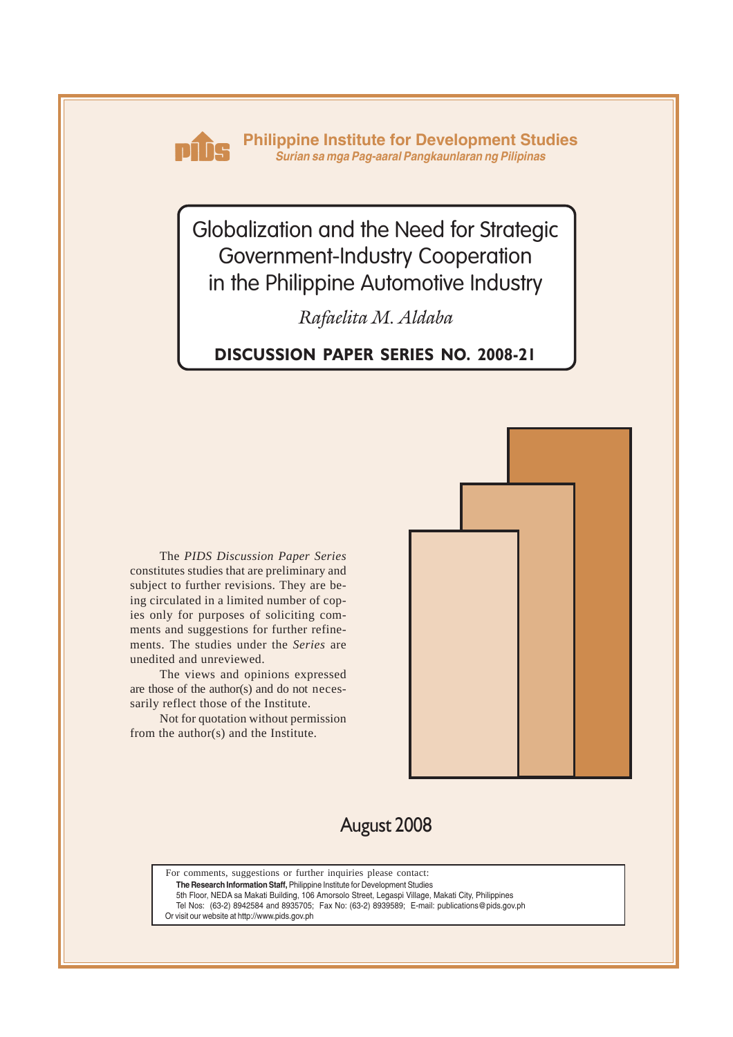

**Philippine Institute for Development Studies** *Surian sa mga Pag-aaral Pangkaunlaran ng Pilipinas*

Globalization and the Need for Strategic Government-Industry Cooperation in the Philippine Automotive Industry

*Rafaelita M. Aldaba*

**DISCUSSION PAPER SERIES NO. 2008-21**

The *PIDS Discussion Paper Series* constitutes studies that are preliminary and subject to further revisions. They are being circulated in a limited number of copies only for purposes of soliciting comments and suggestions for further refinements. The studies under the *Series* are unedited and unreviewed.

The views and opinions expressed are those of the author(s) and do not necessarily reflect those of the Institute.

Not for quotation without permission from the author(s) and the Institute.



# August 2008

For comments, suggestions or further inquiries please contact: **The Research Information Staff,** Philippine Institute for Development Studies

5th Floor, NEDA sa Makati Building, 106 Amorsolo Street, Legaspi Village, Makati City, Philippines Tel Nos: (63-2) 8942584 and 8935705; Fax No: (63-2) 8939589; E-mail: publications@pids.gov.ph Or visit our website at http://www.pids.gov.ph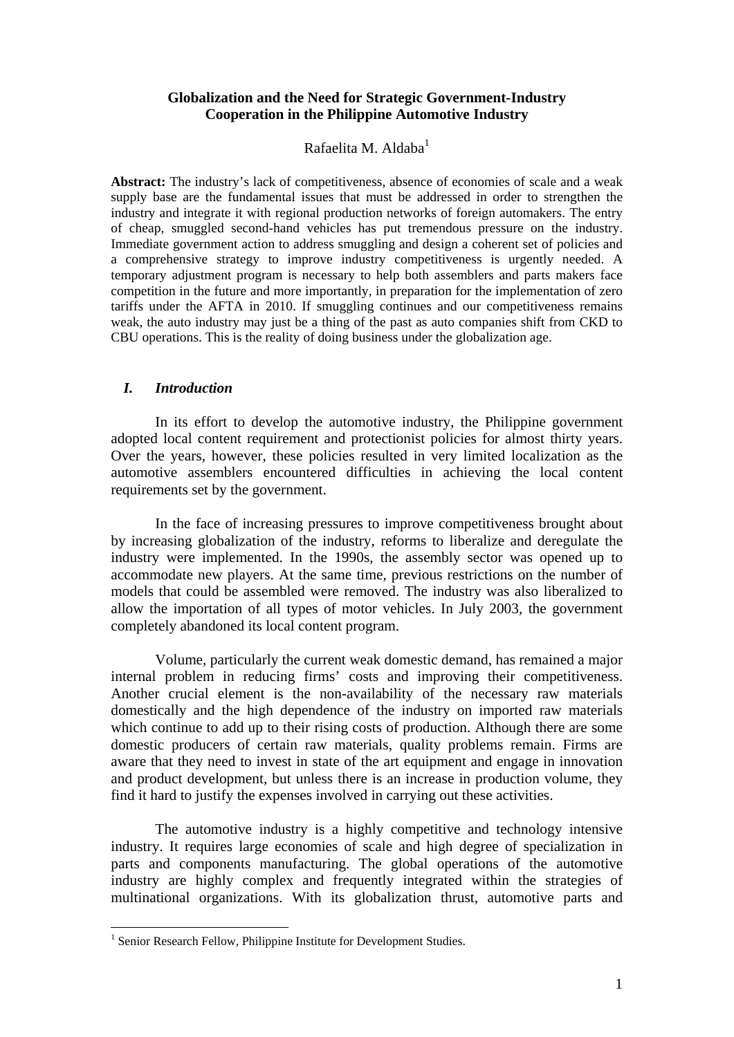## **Globalization and the Need for Strategic Government-Industry Cooperation in the Philippine Automotive Industry**

# Rafaelita M. Aldaba $<sup>1</sup>$ </sup>

Abstract: The industry's lack of competitiveness, absence of economies of scale and a weak supply base are the fundamental issues that must be addressed in order to strengthen the industry and integrate it with regional production networks of foreign automakers. The entry of cheap, smuggled second-hand vehicles has put tremendous pressure on the industry. Immediate government action to address smuggling and design a coherent set of policies and a comprehensive strategy to improve industry competitiveness is urgently needed. A temporary adjustment program is necessary to help both assemblers and parts makers face competition in the future and more importantly, in preparation for the implementation of zero tariffs under the AFTA in 2010. If smuggling continues and our competitiveness remains weak, the auto industry may just be a thing of the past as auto companies shift from CKD to CBU operations. This is the reality of doing business under the globalization age.

# *I. Introduction*

In its effort to develop the automotive industry, the Philippine government adopted local content requirement and protectionist policies for almost thirty years. Over the years, however, these policies resulted in very limited localization as the automotive assemblers encountered difficulties in achieving the local content requirements set by the government.

In the face of increasing pressures to improve competitiveness brought about by increasing globalization of the industry, reforms to liberalize and deregulate the industry were implemented. In the 1990s, the assembly sector was opened up to accommodate new players. At the same time, previous restrictions on the number of models that could be assembled were removed. The industry was also liberalized to allow the importation of all types of motor vehicles. In July 2003, the government completely abandoned its local content program.

Volume, particularly the current weak domestic demand, has remained a major internal problem in reducing firms' costs and improving their competitiveness. Another crucial element is the non-availability of the necessary raw materials domestically and the high dependence of the industry on imported raw materials which continue to add up to their rising costs of production. Although there are some domestic producers of certain raw materials, quality problems remain. Firms are aware that they need to invest in state of the art equipment and engage in innovation and product development, but unless there is an increase in production volume, they find it hard to justify the expenses involved in carrying out these activities.

The automotive industry is a highly competitive and technology intensive industry. It requires large economies of scale and high degree of specialization in parts and components manufacturing. The global operations of the automotive industry are highly complex and frequently integrated within the strategies of multinational organizations. With its globalization thrust, automotive parts and

<sup>1&</sup>lt;br><sup>1</sup> Senior Research Fellow, Philippine Institute for Development Studies.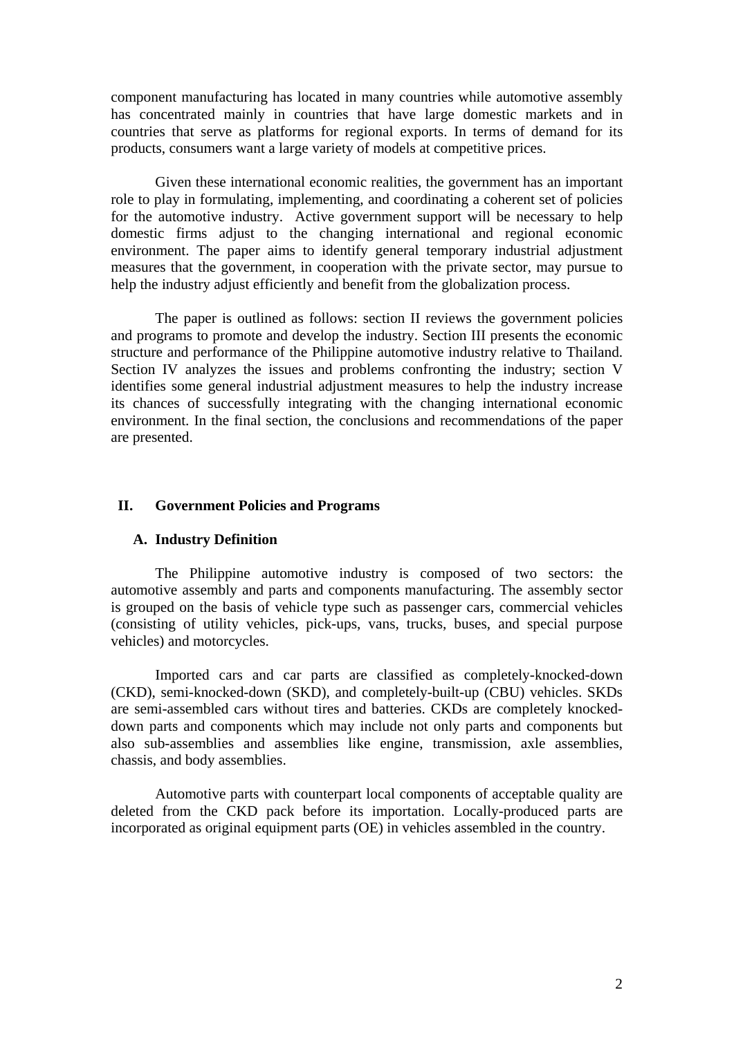component manufacturing has located in many countries while automotive assembly has concentrated mainly in countries that have large domestic markets and in countries that serve as platforms for regional exports. In terms of demand for its products, consumers want a large variety of models at competitive prices.

Given these international economic realities, the government has an important role to play in formulating, implementing, and coordinating a coherent set of policies for the automotive industry. Active government support will be necessary to help domestic firms adjust to the changing international and regional economic environment. The paper aims to identify general temporary industrial adjustment measures that the government, in cooperation with the private sector, may pursue to help the industry adjust efficiently and benefit from the globalization process.

The paper is outlined as follows: section II reviews the government policies and programs to promote and develop the industry. Section III presents the economic structure and performance of the Philippine automotive industry relative to Thailand. Section IV analyzes the issues and problems confronting the industry; section V identifies some general industrial adjustment measures to help the industry increase its chances of successfully integrating with the changing international economic environment. In the final section, the conclusions and recommendations of the paper are presented.

# **II. Government Policies and Programs**

#### **A. Industry Definition**

The Philippine automotive industry is composed of two sectors: the automotive assembly and parts and components manufacturing. The assembly sector is grouped on the basis of vehicle type such as passenger cars, commercial vehicles (consisting of utility vehicles, pick-ups, vans, trucks, buses, and special purpose vehicles) and motorcycles.

Imported cars and car parts are classified as completely-knocked-down (CKD), semi-knocked-down (SKD), and completely-built-up (CBU) vehicles. SKDs are semi-assembled cars without tires and batteries. CKDs are completely knockeddown parts and components which may include not only parts and components but also sub-assemblies and assemblies like engine, transmission, axle assemblies, chassis, and body assemblies.

Automotive parts with counterpart local components of acceptable quality are deleted from the CKD pack before its importation. Locally-produced parts are incorporated as original equipment parts (OE) in vehicles assembled in the country.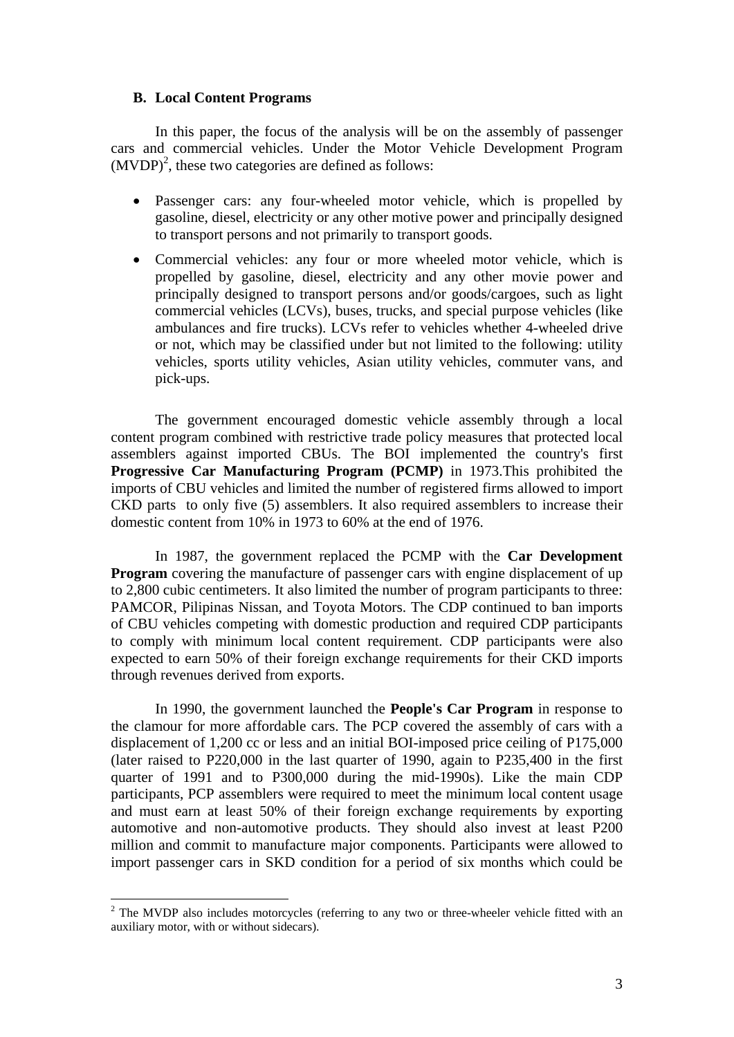#### **B. Local Content Programs**

In this paper, the focus of the analysis will be on the assembly of passenger cars and commercial vehicles. Under the Motor Vehicle Development Program  $(MVDP)<sup>2</sup>$ , these two categories are defined as follows:

- Passenger cars: any four-wheeled motor vehicle, which is propelled by gasoline, diesel, electricity or any other motive power and principally designed to transport persons and not primarily to transport goods.
- Commercial vehicles: any four or more wheeled motor vehicle, which is propelled by gasoline, diesel, electricity and any other movie power and principally designed to transport persons and/or goods/cargoes, such as light commercial vehicles (LCVs), buses, trucks, and special purpose vehicles (like ambulances and fire trucks). LCVs refer to vehicles whether 4-wheeled drive or not, which may be classified under but not limited to the following: utility vehicles, sports utility vehicles, Asian utility vehicles, commuter vans, and pick-ups.

The government encouraged domestic vehicle assembly through a local content program combined with restrictive trade policy measures that protected local assemblers against imported CBUs. The BOI implemented the country's first **Progressive Car Manufacturing Program (PCMP)** in 1973.This prohibited the imports of CBU vehicles and limited the number of registered firms allowed to import CKD parts to only five (5) assemblers. It also required assemblers to increase their domestic content from 10% in 1973 to 60% at the end of 1976.

In 1987, the government replaced the PCMP with the **Car Development Program** covering the manufacture of passenger cars with engine displacement of up to 2,800 cubic centimeters. It also limited the number of program participants to three: PAMCOR, Pilipinas Nissan, and Toyota Motors. The CDP continued to ban imports of CBU vehicles competing with domestic production and required CDP participants to comply with minimum local content requirement. CDP participants were also expected to earn 50% of their foreign exchange requirements for their CKD imports through revenues derived from exports.

In 1990, the government launched the **People's Car Program** in response to the clamour for more affordable cars. The PCP covered the assembly of cars with a displacement of 1,200 cc or less and an initial BOI-imposed price ceiling of P175,000 (later raised to P220,000 in the last quarter of 1990, again to P235,400 in the first quarter of 1991 and to P300,000 during the mid-1990s). Like the main CDP participants, PCP assemblers were required to meet the minimum local content usage and must earn at least 50% of their foreign exchange requirements by exporting automotive and non-automotive products. They should also invest at least P200 million and commit to manufacture major components. Participants were allowed to import passenger cars in SKD condition for a period of six months which could be

1

 $2$  The MVDP also includes motorcycles (referring to any two or three-wheeler vehicle fitted with an auxiliary motor, with or without sidecars).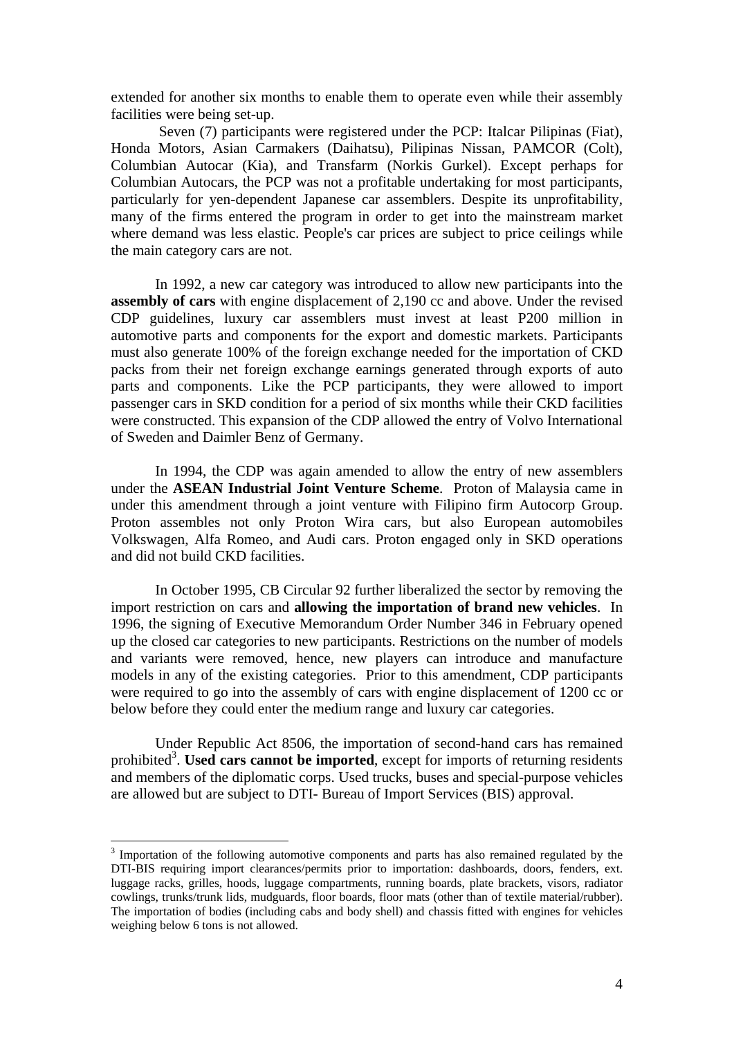extended for another six months to enable them to operate even while their assembly facilities were being set-up.

 Seven (7) participants were registered under the PCP: Italcar Pilipinas (Fiat), Honda Motors, Asian Carmakers (Daihatsu), Pilipinas Nissan, PAMCOR (Colt), Columbian Autocar (Kia), and Transfarm (Norkis Gurkel). Except perhaps for Columbian Autocars, the PCP was not a profitable undertaking for most participants, particularly for yen-dependent Japanese car assemblers. Despite its unprofitability, many of the firms entered the program in order to get into the mainstream market where demand was less elastic. People's car prices are subject to price ceilings while the main category cars are not.

In 1992, a new car category was introduced to allow new participants into the **assembly of cars** with engine displacement of 2,190 cc and above. Under the revised CDP guidelines, luxury car assemblers must invest at least P200 million in automotive parts and components for the export and domestic markets. Participants must also generate 100% of the foreign exchange needed for the importation of CKD packs from their net foreign exchange earnings generated through exports of auto parts and components. Like the PCP participants, they were allowed to import passenger cars in SKD condition for a period of six months while their CKD facilities were constructed. This expansion of the CDP allowed the entry of Volvo International of Sweden and Daimler Benz of Germany.

In 1994, the CDP was again amended to allow the entry of new assemblers under the **ASEAN Industrial Joint Venture Scheme**. Proton of Malaysia came in under this amendment through a joint venture with Filipino firm Autocorp Group. Proton assembles not only Proton Wira cars, but also European automobiles Volkswagen, Alfa Romeo, and Audi cars. Proton engaged only in SKD operations and did not build CKD facilities.

In October 1995, CB Circular 92 further liberalized the sector by removing the import restriction on cars and **allowing the importation of brand new vehicles**. In 1996, the signing of Executive Memorandum Order Number 346 in February opened up the closed car categories to new participants. Restrictions on the number of models and variants were removed, hence, new players can introduce and manufacture models in any of the existing categories. Prior to this amendment, CDP participants were required to go into the assembly of cars with engine displacement of 1200 cc or below before they could enter the medium range and luxury car categories.

Under Republic Act 8506, the importation of second-hand cars has remained prohibited<sup>3</sup>. Used cars cannot be imported, except for imports of returning residents and members of the diplomatic corps. Used trucks, buses and special-purpose vehicles are allowed but are subject to DTI- Bureau of Import Services (BIS) approval.

1

<sup>&</sup>lt;sup>3</sup> Importation of the following automotive components and parts has also remained regulated by the DTI-BIS requiring import clearances/permits prior to importation: dashboards, doors, fenders, ext. luggage racks, grilles, hoods, luggage compartments, running boards, plate brackets, visors, radiator cowlings, trunks/trunk lids, mudguards, floor boards, floor mats (other than of textile material/rubber). The importation of bodies (including cabs and body shell) and chassis fitted with engines for vehicles weighing below 6 tons is not allowed.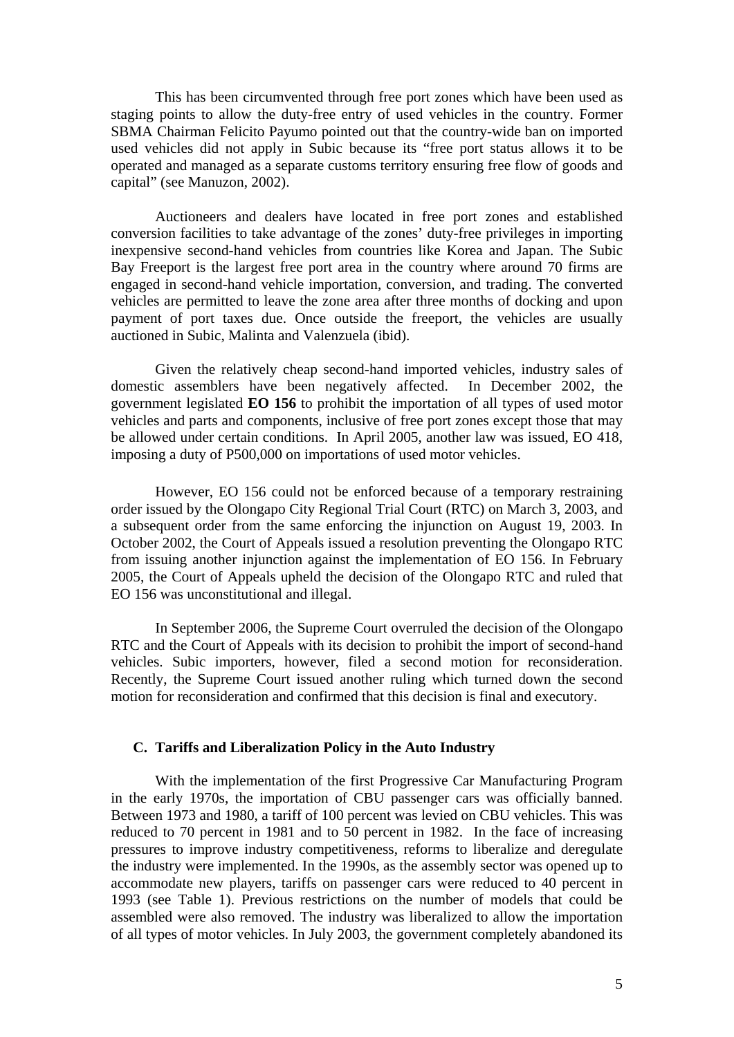This has been circumvented through free port zones which have been used as staging points to allow the duty-free entry of used vehicles in the country. Former SBMA Chairman Felicito Payumo pointed out that the country-wide ban on imported used vehicles did not apply in Subic because its "free port status allows it to be operated and managed as a separate customs territory ensuring free flow of goods and capital" (see Manuzon, 2002).

Auctioneers and dealers have located in free port zones and established conversion facilities to take advantage of the zones' duty-free privileges in importing inexpensive second-hand vehicles from countries like Korea and Japan. The Subic Bay Freeport is the largest free port area in the country where around 70 firms are engaged in second-hand vehicle importation, conversion, and trading. The converted vehicles are permitted to leave the zone area after three months of docking and upon payment of port taxes due. Once outside the freeport, the vehicles are usually auctioned in Subic, Malinta and Valenzuela (ibid).

Given the relatively cheap second-hand imported vehicles, industry sales of domestic assemblers have been negatively affected. In December 2002, the government legislated **EO 156** to prohibit the importation of all types of used motor vehicles and parts and components, inclusive of free port zones except those that may be allowed under certain conditions. In April 2005, another law was issued, EO 418, imposing a duty of P500,000 on importations of used motor vehicles.

However, EO 156 could not be enforced because of a temporary restraining order issued by the Olongapo City Regional Trial Court (RTC) on March 3, 2003, and a subsequent order from the same enforcing the injunction on August 19, 2003. In October 2002, the Court of Appeals issued a resolution preventing the Olongapo RTC from issuing another injunction against the implementation of EO 156. In February 2005, the Court of Appeals upheld the decision of the Olongapo RTC and ruled that EO 156 was unconstitutional and illegal.

In September 2006, the Supreme Court overruled the decision of the Olongapo RTC and the Court of Appeals with its decision to prohibit the import of second-hand vehicles. Subic importers, however, filed a second motion for reconsideration. Recently, the Supreme Court issued another ruling which turned down the second motion for reconsideration and confirmed that this decision is final and executory.

# **C. Tariffs and Liberalization Policy in the Auto Industry**

With the implementation of the first Progressive Car Manufacturing Program in the early 1970s, the importation of CBU passenger cars was officially banned. Between 1973 and 1980, a tariff of 100 percent was levied on CBU vehicles. This was reduced to 70 percent in 1981 and to 50 percent in 1982. In the face of increasing pressures to improve industry competitiveness, reforms to liberalize and deregulate the industry were implemented. In the 1990s, as the assembly sector was opened up to accommodate new players, tariffs on passenger cars were reduced to 40 percent in 1993 (see Table 1). Previous restrictions on the number of models that could be assembled were also removed. The industry was liberalized to allow the importation of all types of motor vehicles. In July 2003, the government completely abandoned its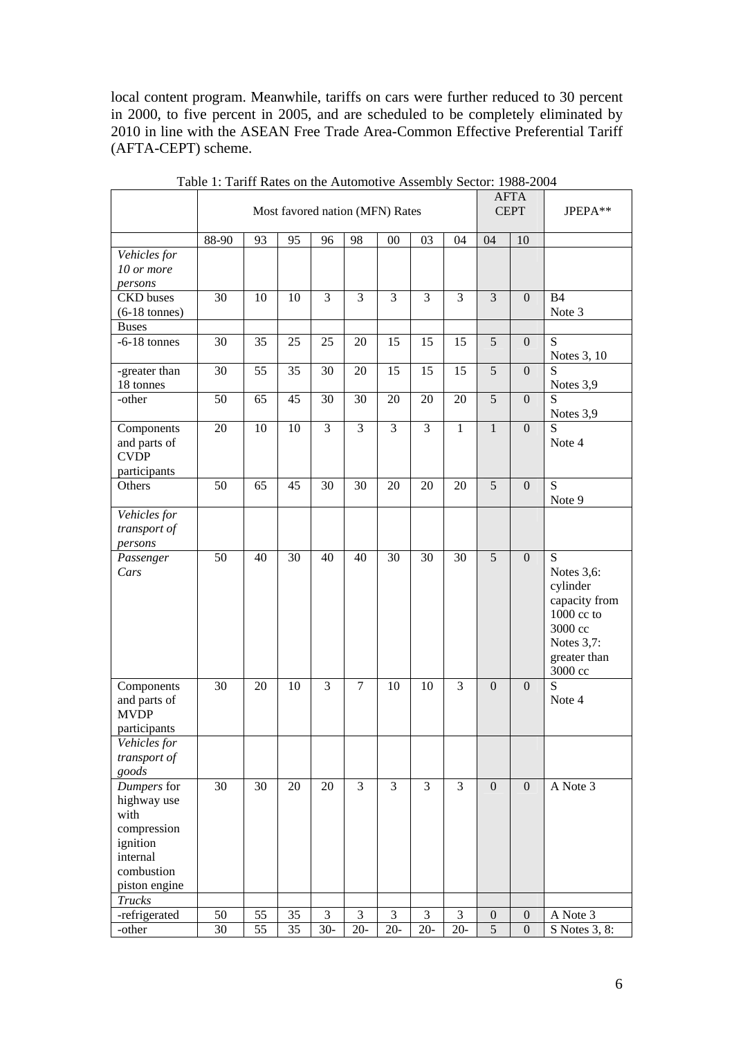local content program. Meanwhile, tariffs on cars were further reduced to 30 percent in 2000, to five percent in 2005, and are scheduled to be completely eliminated by 2010 in line with the ASEAN Free Trade Area-Common Effective Preferential Tariff (AFTA-CEPT) scheme.

|                                                                                                          | Most favored nation (MFN) Rates |    |    |                |                |                |                |                | <b>AFTA</b><br><b>CEPT</b> | JPEPA**          |                                                                                                                   |
|----------------------------------------------------------------------------------------------------------|---------------------------------|----|----|----------------|----------------|----------------|----------------|----------------|----------------------------|------------------|-------------------------------------------------------------------------------------------------------------------|
|                                                                                                          | 88-90                           | 93 | 95 | 96             | 98             | 00             | 03             | 04             | 04                         | 10               |                                                                                                                   |
| Vehicles for<br>10 or more<br>persons                                                                    |                                 |    |    |                |                |                |                |                |                            |                  |                                                                                                                   |
| CKD buses<br>$(6-18 \text{ tonnes})$                                                                     | 30                              | 10 | 10 | 3              | 3              | 3              | 3              | 3              | 3                          | $\mathbf{0}$     | <b>B4</b><br>Note 3                                                                                               |
| <b>Buses</b>                                                                                             |                                 |    |    |                |                |                |                |                |                            |                  |                                                                                                                   |
| $-6-18$ tonnes                                                                                           | 30                              | 35 | 25 | 25             | $20\,$         | 15             | 15             | 15             | 5                          | $\mathbf{0}$     | S<br>Notes 3, 10                                                                                                  |
| -greater than<br>18 tonnes                                                                               | 30                              | 55 | 35 | 30             | 20             | 15             | 15             | 15             | 5                          | $\mathbf{0}$     | S<br>Notes 3,9                                                                                                    |
| -other                                                                                                   | 50                              | 65 | 45 | 30             | 30             | 20             | 20             | 20             | 5                          | $\overline{0}$   | S<br>Notes 3,9                                                                                                    |
| Components<br>and parts of<br><b>CVDP</b><br>participants                                                | 20                              | 10 | 10 | 3              | 3              | 3              | 3              | $\mathbf{1}$   | $\mathbf{1}$               | $\mathbf{0}$     | S<br>Note 4                                                                                                       |
| Others                                                                                                   | 50                              | 65 | 45 | 30             | 30             | 20             | 20             | 20             | 5                          | $\overline{0}$   | S<br>Note 9                                                                                                       |
| Vehicles for<br>transport of<br>persons                                                                  |                                 |    |    |                |                |                |                |                |                            |                  |                                                                                                                   |
| Passenger<br>Cars                                                                                        | 50                              | 40 | 30 | 40             | 40             | 30             | 30             | 30             | $\overline{5}$             | $\overline{0}$   | S<br>Notes $3,6$ :<br>cylinder<br>capacity from<br>1000 cc to<br>3000 cc<br>Notes 3,7:<br>greater than<br>3000 cc |
| Components<br>and parts of<br><b>MVDP</b><br>participants                                                | 30                              | 20 | 10 | 3              | $\tau$         | 10             | 10             | 3              | $\theta$                   | $\theta$         | S<br>Note 4                                                                                                       |
| Vehicles for<br>transport of<br>goods                                                                    |                                 |    |    |                |                |                |                |                |                            |                  |                                                                                                                   |
| Dumpers for<br>highway use<br>with<br>compression<br>ignition<br>internal<br>combustion<br>piston engine | 30                              | 30 | 20 | 20             | $\overline{3}$ | 3              | $\overline{3}$ | $\overline{3}$ | $\mathbf{0}$               | $\mathbf{0}$     | A Note 3                                                                                                          |
| <b>Trucks</b>                                                                                            |                                 |    |    |                |                |                |                |                |                            |                  |                                                                                                                   |
| -refrigerated                                                                                            | 50                              | 55 | 35 | $\mathfrak{Z}$ | 3              | $\mathfrak{Z}$ | $\mathfrak{Z}$ | 3              | $\boldsymbol{0}$           | $\boldsymbol{0}$ | A Note 3                                                                                                          |
| -other                                                                                                   | 30                              | 55 | 35 | $30-$          | $20-$          | $20-$          | $20-$          | $20 -$         | $\overline{5}$             | $\theta$         | S Notes 3, 8:                                                                                                     |

Table 1: Tariff Rates on the Automotive Assembly Sector: 1988-2004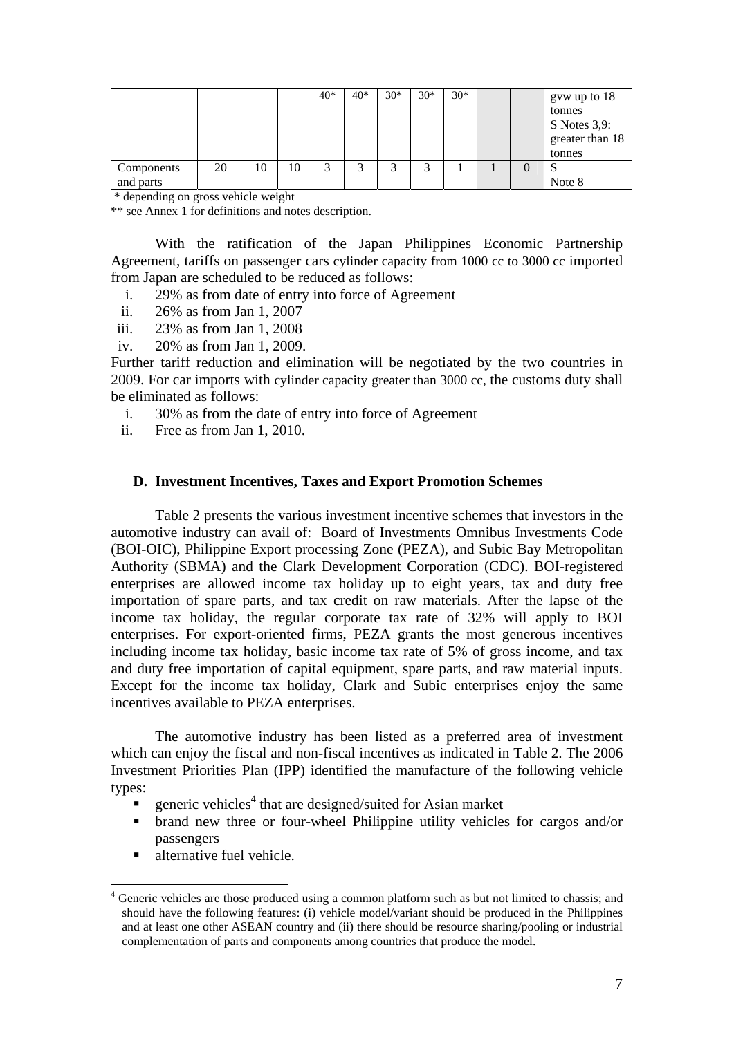|                         |    |    |    | $40*$ | $40*$ | $30*$  | $30*$      | $30*$ |  | gvw up to 18<br>tonnes<br>$S$ Notes 3,9:<br>greater than 18<br>tonnes |
|-------------------------|----|----|----|-------|-------|--------|------------|-------|--|-----------------------------------------------------------------------|
| Components<br>and parts | 20 | 10 | 10 | ⌒     | ⌒     | ◠<br>J | $\sqrt{2}$ |       |  | Note 8                                                                |

\* depending on gross vehicle weight

\*\* see Annex 1 for definitions and notes description.

With the ratification of the Japan Philippines Economic Partnership Agreement, tariffs on passenger cars cylinder capacity from 1000 cc to 3000 cc imported from Japan are scheduled to be reduced as follows:

- i. 29% as from date of entry into force of Agreement
- ii. 26% as from Jan 1, 2007
- iii. 23% as from Jan 1, 2008
- iv. 20% as from Jan 1, 2009.

Further tariff reduction and elimination will be negotiated by the two countries in 2009. For car imports with cylinder capacity greater than 3000 cc, the customs duty shall be eliminated as follows:

- i. 30% as from the date of entry into force of Agreement
- ii. Free as from Jan 1, 2010.

# **D. Investment Incentives, Taxes and Export Promotion Schemes**

Table 2 presents the various investment incentive schemes that investors in the automotive industry can avail of: Board of Investments Omnibus Investments Code (BOI-OIC), Philippine Export processing Zone (PEZA), and Subic Bay Metropolitan Authority (SBMA) and the Clark Development Corporation (CDC). BOI-registered enterprises are allowed income tax holiday up to eight years, tax and duty free importation of spare parts, and tax credit on raw materials. After the lapse of the income tax holiday, the regular corporate tax rate of 32% will apply to BOI enterprises. For export-oriented firms, PEZA grants the most generous incentives including income tax holiday, basic income tax rate of 5% of gross income, and tax and duty free importation of capital equipment, spare parts, and raw material inputs. Except for the income tax holiday, Clark and Subic enterprises enjoy the same incentives available to PEZA enterprises.

The automotive industry has been listed as a preferred area of investment which can enjoy the fiscal and non-fiscal incentives as indicated in Table 2. The 2006 Investment Priorities Plan (IPP) identified the manufacture of the following vehicle types:

- **•** generic vehicles<sup>4</sup> that are designed/suited for Asian market
- brand new three or four-wheel Philippine utility vehicles for cargos and/or passengers
- alternative fuel vehicle.

1

<sup>&</sup>lt;sup>4</sup> Generic vehicles are those produced using a common platform such as but not limited to chassis; and should have the following features: (i) vehicle model/variant should be produced in the Philippines and at least one other ASEAN country and (ii) there should be resource sharing/pooling or industrial complementation of parts and components among countries that produce the model.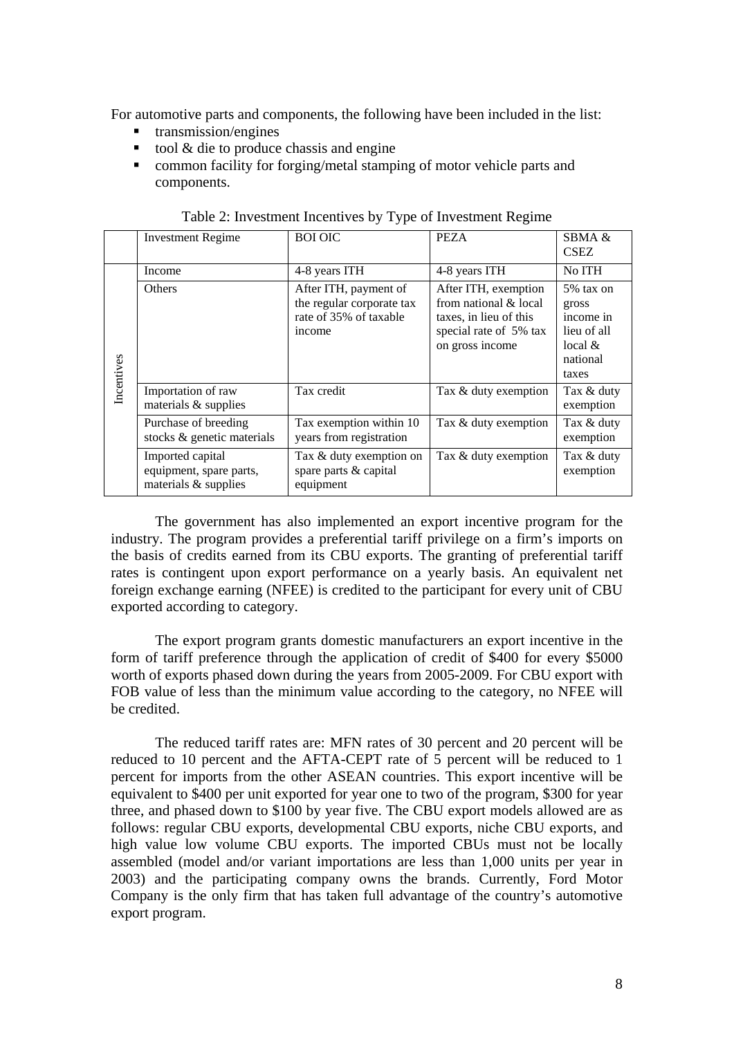For automotive parts and components, the following have been included in the list:

- transmission/engines
- tool  $&$  die to produce chassis and engine
- **E** common facility for forging/metal stamping of motor vehicle parts and components.

|            | <b>Investment Regime</b>                                            | <b>BOI OIC</b>                                                                         | <b>PEZA</b>                                                                                                          | SBMA &<br><b>CSEZ</b>                                                            |
|------------|---------------------------------------------------------------------|----------------------------------------------------------------------------------------|----------------------------------------------------------------------------------------------------------------------|----------------------------------------------------------------------------------|
|            | Income                                                              | 4-8 years ITH                                                                          | 4-8 years ITH                                                                                                        | No ITH                                                                           |
| Incentives | Others                                                              | After ITH, payment of<br>the regular corporate tax<br>rate of 35% of taxable<br>income | After ITH, exemption<br>from national & local<br>taxes, in lieu of this<br>special rate of 5% tax<br>on gross income | 5% tax on<br>gross<br>income in<br>lieu of all<br>local $&$<br>national<br>taxes |
|            | Importation of raw<br>materials & supplies                          | Tax credit                                                                             | Tax & duty exemption                                                                                                 | Tax & duty<br>exemption                                                          |
|            | Purchase of breeding<br>stocks & genetic materials                  | Tax exemption within 10<br>years from registration                                     | Tax & duty exemption                                                                                                 | Tax & duty<br>exemption                                                          |
|            | Imported capital<br>equipment, spare parts,<br>materials & supplies | Tax & duty exemption on<br>spare parts & capital<br>equipment                          | Tax & duty exemption                                                                                                 | Tax & duty<br>exemption                                                          |

|  | Table 2: Investment Incentives by Type of Investment Regime |  |  |  |
|--|-------------------------------------------------------------|--|--|--|
|--|-------------------------------------------------------------|--|--|--|

The government has also implemented an export incentive program for the industry. The program provides a preferential tariff privilege on a firm's imports on the basis of credits earned from its CBU exports. The granting of preferential tariff rates is contingent upon export performance on a yearly basis. An equivalent net foreign exchange earning (NFEE) is credited to the participant for every unit of CBU exported according to category.

The export program grants domestic manufacturers an export incentive in the form of tariff preference through the application of credit of \$400 for every \$5000 worth of exports phased down during the years from 2005-2009. For CBU export with FOB value of less than the minimum value according to the category, no NFEE will be credited.

The reduced tariff rates are: MFN rates of 30 percent and 20 percent will be reduced to 10 percent and the AFTA-CEPT rate of 5 percent will be reduced to 1 percent for imports from the other ASEAN countries. This export incentive will be equivalent to \$400 per unit exported for year one to two of the program, \$300 for year three, and phased down to \$100 by year five. The CBU export models allowed are as follows: regular CBU exports, developmental CBU exports, niche CBU exports, and high value low volume CBU exports. The imported CBUs must not be locally assembled (model and/or variant importations are less than 1,000 units per year in 2003) and the participating company owns the brands. Currently, Ford Motor Company is the only firm that has taken full advantage of the country's automotive export program.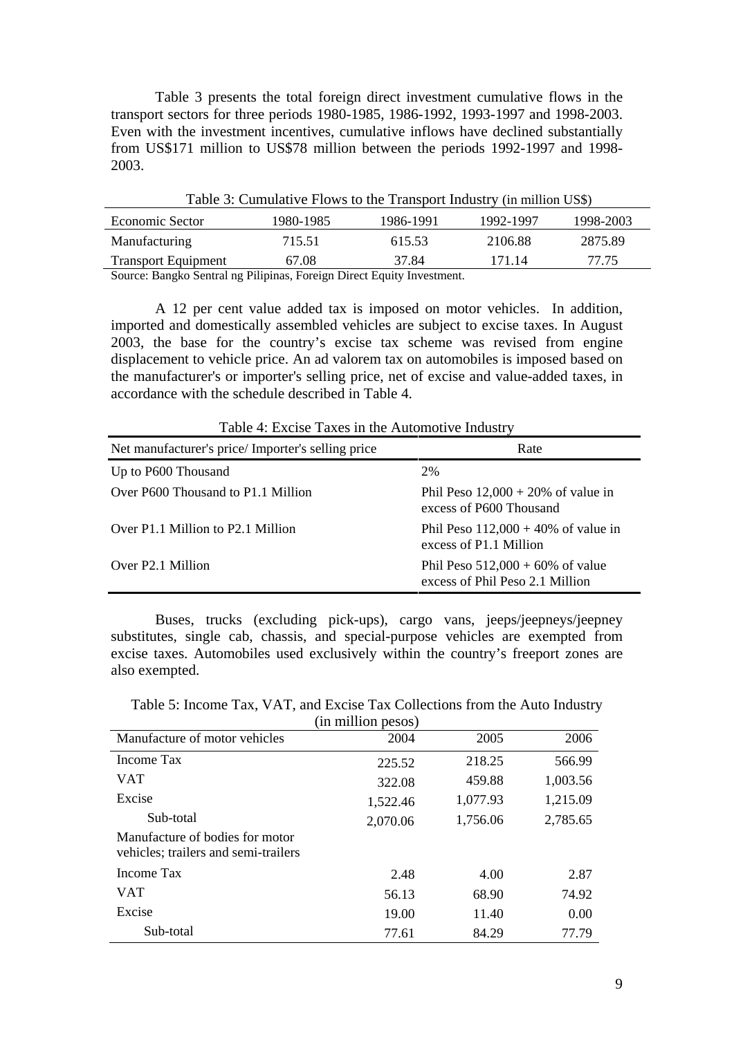Table 3 presents the total foreign direct investment cumulative flows in the transport sectors for three periods 1980-1985, 1986-1992, 1993-1997 and 1998-2003. Even with the investment incentives, cumulative inflows have declined substantially from US\$171 million to US\$78 million between the periods 1992-1997 and 1998- 2003.

| Table 3: Cumulative Flows to the Transport Industry (in million US\$) |           |           |           |           |  |  |  |  |  |
|-----------------------------------------------------------------------|-----------|-----------|-----------|-----------|--|--|--|--|--|
| Economic Sector                                                       | 1980-1985 | 1986-1991 | 1992-1997 | 1998-2003 |  |  |  |  |  |
| Manufacturing                                                         | 715.51    | 615.53    | 2106.88   | 2875.89   |  |  |  |  |  |
| <b>Transport Equipment</b>                                            | 67.08     | 37.84     | 171.14    | 77.75     |  |  |  |  |  |
| Course Denato Control no Bilinines, Espaign Direct Equity Invostment  |           |           |           |           |  |  |  |  |  |

Source: Bangko Sentral ng Pilipinas, Foreign Direct Equity Investment.

A 12 per cent value added tax is imposed on motor vehicles. In addition, imported and domestically assembled vehicles are subject to excise taxes. In August 2003, the base for the country's excise tax scheme was revised from engine displacement to vehicle price. An ad valorem tax on automobiles is imposed based on the manufacturer's or importer's selling price, net of excise and value-added taxes, in accordance with the schedule described in Table 4.

| Table 4: Excise Taxes in the Automotive Industry  |                                                                        |  |  |  |  |  |
|---------------------------------------------------|------------------------------------------------------------------------|--|--|--|--|--|
| Net manufacturer's price/Importer's selling price | Rate                                                                   |  |  |  |  |  |
| Up to P600 Thousand                               | 2%                                                                     |  |  |  |  |  |
| Over P600 Thousand to P1.1 Million                | Phil Peso $12,000 + 20\%$ of value in<br>excess of P600 Thousand       |  |  |  |  |  |
| Over P1.1 Million to P2.1 Million                 | Phil Peso $112,000 + 40\%$ of value in<br>excess of P1.1 Million       |  |  |  |  |  |
| Over P2.1 Million                                 | Phil Peso $512,000 + 60\%$ of value<br>excess of Phil Peso 2.1 Million |  |  |  |  |  |

Table 4: Excise Taxes in the Automotive Industry

Buses, trucks (excluding pick-ups), cargo vans, jeeps/jeepneys/jeepney substitutes, single cab, chassis, and special-purpose vehicles are exempted from excise taxes. Automobiles used exclusively within the country's freeport zones are also exempted.

Table 5: Income Tax, VAT, and Excise Tax Collections from the Auto Industry

| (in million pesos)                                                      |          |          |          |  |  |  |  |  |  |
|-------------------------------------------------------------------------|----------|----------|----------|--|--|--|--|--|--|
| Manufacture of motor vehicles                                           | 2004     | 2005     | 2006     |  |  |  |  |  |  |
| Income Tax                                                              | 225.52   | 218.25   | 566.99   |  |  |  |  |  |  |
| <b>VAT</b>                                                              | 322.08   | 459.88   | 1,003.56 |  |  |  |  |  |  |
| Excise                                                                  | 1,522.46 | 1,077.93 | 1,215.09 |  |  |  |  |  |  |
| Sub-total                                                               | 2,070.06 | 1,756.06 | 2,785.65 |  |  |  |  |  |  |
| Manufacture of bodies for motor<br>vehicles; trailers and semi-trailers |          |          |          |  |  |  |  |  |  |
| Income Tax                                                              | 2.48     | 4.00     | 2.87     |  |  |  |  |  |  |
| VAT                                                                     | 56.13    | 68.90    | 74.92    |  |  |  |  |  |  |
| Excise                                                                  | 19.00    | 11.40    | 0.00     |  |  |  |  |  |  |
| Sub-total                                                               | 77.61    | 84.29    | 77.79    |  |  |  |  |  |  |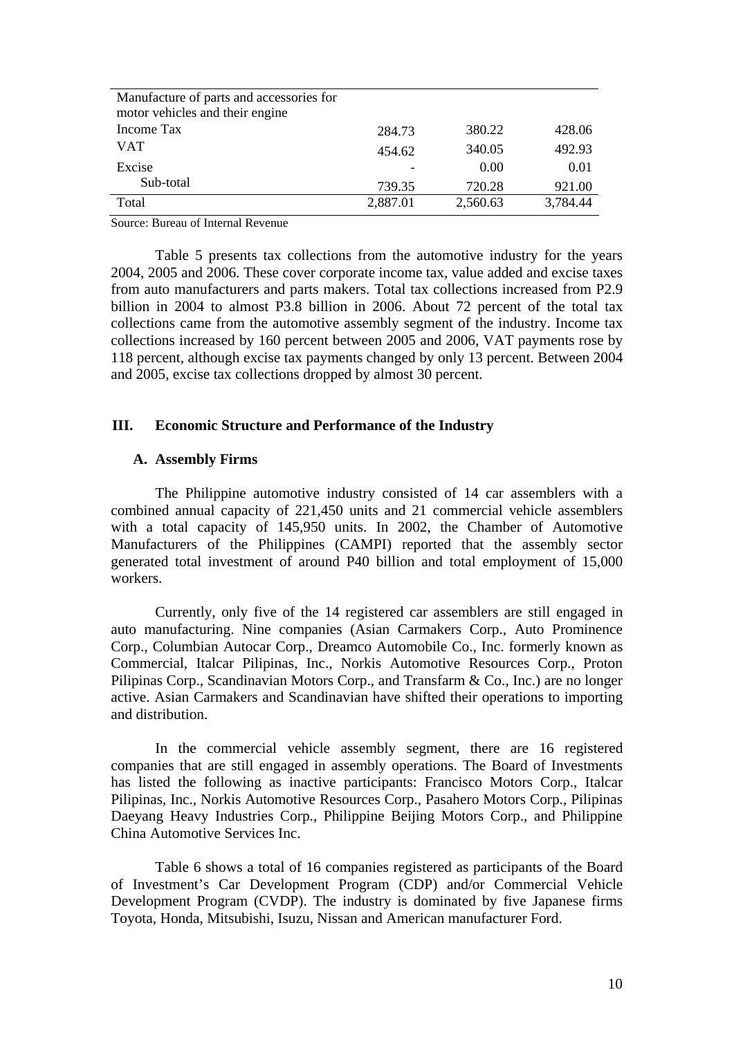| Manufacture of parts and accessories for |          |          |          |
|------------------------------------------|----------|----------|----------|
| motor vehicles and their engine          |          |          |          |
| Income Tax                               | 284.73   | 380.22   | 428.06   |
| <b>VAT</b>                               | 454.62   | 340.05   | 492.93   |
| Excise                                   |          | 0.00     | 0.01     |
| Sub-total                                | 739.35   | 720.28   | 921.00   |
| Total                                    | 2,887.01 | 2,560.63 | 3,784.44 |

Source: Bureau of Internal Revenue

Table 5 presents tax collections from the automotive industry for the years 2004, 2005 and 2006. These cover corporate income tax, value added and excise taxes from auto manufacturers and parts makers. Total tax collections increased from P2.9 billion in 2004 to almost P3.8 billion in 2006. About 72 percent of the total tax collections came from the automotive assembly segment of the industry. Income tax collections increased by 160 percent between 2005 and 2006, VAT payments rose by 118 percent, although excise tax payments changed by only 13 percent. Between 2004 and 2005, excise tax collections dropped by almost 30 percent.

# **III. Economic Structure and Performance of the Industry**

# **A. Assembly Firms**

The Philippine automotive industry consisted of 14 car assemblers with a combined annual capacity of 221,450 units and 21 commercial vehicle assemblers with a total capacity of 145,950 units. In 2002, the Chamber of Automotive Manufacturers of the Philippines (CAMPI) reported that the assembly sector generated total investment of around P40 billion and total employment of 15,000 workers.

Currently, only five of the 14 registered car assemblers are still engaged in auto manufacturing. Nine companies (Asian Carmakers Corp., Auto Prominence Corp., Columbian Autocar Corp., Dreamco Automobile Co., Inc. formerly known as Commercial, Italcar Pilipinas, Inc., Norkis Automotive Resources Corp., Proton Pilipinas Corp., Scandinavian Motors Corp., and Transfarm & Co., Inc.) are no longer active. Asian Carmakers and Scandinavian have shifted their operations to importing and distribution.

In the commercial vehicle assembly segment, there are 16 registered companies that are still engaged in assembly operations. The Board of Investments has listed the following as inactive participants: Francisco Motors Corp., Italcar Pilipinas, Inc., Norkis Automotive Resources Corp., Pasahero Motors Corp., Pilipinas Daeyang Heavy Industries Corp., Philippine Beijing Motors Corp., and Philippine China Automotive Services Inc.

Table 6 shows a total of 16 companies registered as participants of the Board of Investment's Car Development Program (CDP) and/or Commercial Vehicle Development Program (CVDP). The industry is dominated by five Japanese firms Toyota, Honda, Mitsubishi, Isuzu, Nissan and American manufacturer Ford.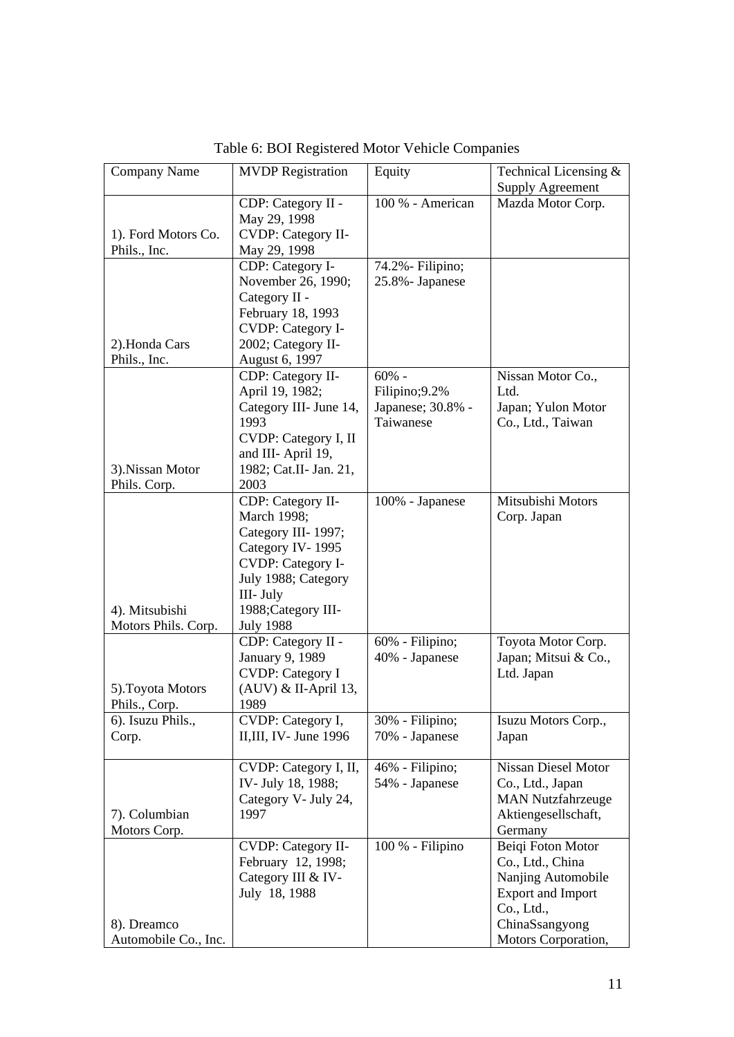| Company Name                                    | <b>MVDP</b> Registration                                                                                                                                                             | Equity                                                     | Technical Licensing &<br><b>Supply Agreement</b>                                                                                               |
|-------------------------------------------------|--------------------------------------------------------------------------------------------------------------------------------------------------------------------------------------|------------------------------------------------------------|------------------------------------------------------------------------------------------------------------------------------------------------|
| 1). Ford Motors Co.<br>Phils., Inc.             | CDP: Category II -<br>May 29, 1998<br><b>CVDP: Category II-</b><br>May 29, 1998                                                                                                      | 100 % - American                                           | Mazda Motor Corp.                                                                                                                              |
| 2).Honda Cars                                   | CDP: Category I-<br>November 26, 1990;<br>Category II -<br>February 18, 1993<br><b>CVDP: Category I-</b><br>2002; Category II-                                                       | 74.2% - Filipino;<br>25.8% - Japanese                      |                                                                                                                                                |
| Phils., Inc.<br>3).Nissan Motor<br>Phils. Corp. | August 6, 1997<br>CDP: Category II-<br>April 19, 1982;<br>Category III- June 14,<br>1993<br>CVDP: Category I, II<br>and III- April 19,<br>1982; Cat.II- Jan. 21,<br>2003             | $60%$ -<br>Filipino;9.2%<br>Japanese; 30.8% -<br>Taiwanese | Nissan Motor Co.,<br>Ltd.<br>Japan; Yulon Motor<br>Co., Ltd., Taiwan                                                                           |
| 4). Mitsubishi<br>Motors Phils. Corp.           | CDP: Category II-<br>March 1998;<br>Category III-1997;<br>Category IV-1995<br><b>CVDP: Category I-</b><br>July 1988; Category<br>III- July<br>1988;Category III-<br><b>July 1988</b> | 100% - Japanese                                            | Mitsubishi Motors<br>Corp. Japan                                                                                                               |
| 5). Toyota Motors<br>Phils., Corp.              | CDP: Category II -<br>January 9, 1989<br><b>CVDP: Category I</b><br>(AUV) & II-April 13,<br>1989                                                                                     | 60% - Filipino;<br>40% - Japanese                          | Toyota Motor Corp.<br>Japan; Mitsui & Co.,<br>Ltd. Japan                                                                                       |
| 6). Isuzu Phils.,<br>Corp.                      | CVDP: Category I,<br>II, III, IV - June $1996$                                                                                                                                       | 30% - Filipino;<br>70% - Japanese                          | Isuzu Motors Corp.,<br>Japan                                                                                                                   |
| 7). Columbian<br>Motors Corp.                   | CVDP: Category I, II,<br>IV-July 18, 1988;<br>Category V- July 24,<br>1997                                                                                                           | 46% - Filipino;<br>54% - Japanese                          | Nissan Diesel Motor<br>Co., Ltd., Japan<br><b>MAN Nutzfahrzeuge</b><br>Aktiengesellschaft,<br>Germany                                          |
| 8). Dreamco<br>Automobile Co., Inc.             | <b>CVDP: Category II-</b><br>February 12, 1998;<br>Category III & IV-<br>July 18, 1988                                                                                               | 100 % - Filipino                                           | Beiqi Foton Motor<br>Co., Ltd., China<br>Nanjing Automobile<br><b>Export and Import</b><br>Co., Ltd.,<br>ChinaSsangyong<br>Motors Corporation, |

Table 6: BOI Registered Motor Vehicle Companies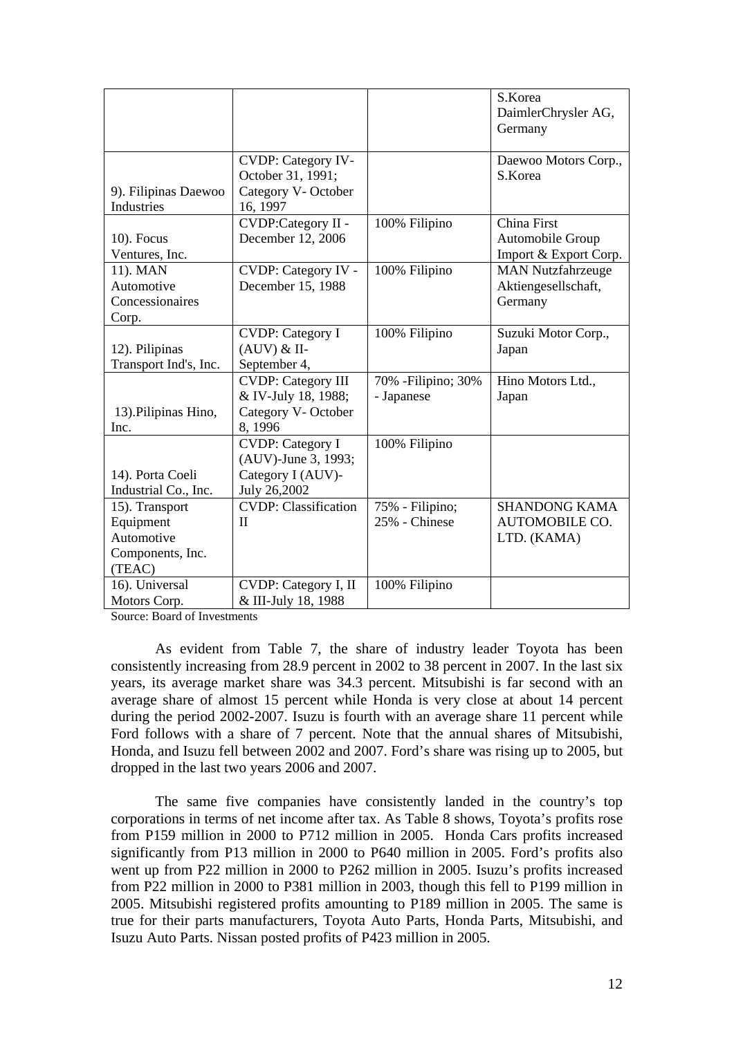|                       |                              |                     | S.Korea                        |
|-----------------------|------------------------------|---------------------|--------------------------------|
|                       |                              |                     | DaimlerChrysler AG,<br>Germany |
|                       |                              |                     |                                |
|                       | <b>CVDP: Category IV-</b>    |                     | Daewoo Motors Corp.,           |
|                       | October 31, 1991;            |                     | S.Korea                        |
| 9). Filipinas Daewoo  | Category V- October          |                     |                                |
| <b>Industries</b>     | 16, 1997                     |                     |                                |
|                       | CVDP:Category II -           | 100% Filipino       | China First                    |
| $10$ ). Focus         | December 12, 2006            |                     | Automobile Group               |
| Ventures, Inc.        |                              |                     | Import & Export Corp.          |
| 11). MAN              | CVDP: Category IV -          | 100% Filipino       | <b>MAN Nutzfahrzeuge</b>       |
| Automotive            | December 15, 1988            |                     | Aktiengesellschaft,            |
| Concessionaires       |                              |                     | Germany                        |
| Corp.                 |                              |                     |                                |
|                       | <b>CVDP: Category I</b>      | 100% Filipino       | Suzuki Motor Corp.,            |
| 12). Pilipinas        | $(AUV)$ & II-                |                     | Japan                          |
| Transport Ind's, Inc. | September 4,                 |                     |                                |
|                       | <b>CVDP: Category III</b>    | 70% - Filipino; 30% | Hino Motors Ltd.,              |
|                       | & IV-July 18, 1988;          | - Japanese          | Japan                          |
| 13). Pilipinas Hino,  | Category V- October          |                     |                                |
| Inc.                  | 8,1996                       |                     |                                |
|                       | <b>CVDP: Category I</b>      | 100% Filipino       |                                |
|                       | (AUV)-June 3, 1993;          |                     |                                |
| 14). Porta Coeli      | Category I (AUV)-            |                     |                                |
| Industrial Co., Inc.  | July 26,2002                 |                     |                                |
| 15). Transport        | <b>CVDP</b> : Classification | 75% - Filipino;     | <b>SHANDONG KAMA</b>           |
| Equipment             | $\mathbf{I}$                 | 25% - Chinese       | <b>AUTOMOBILE CO.</b>          |
| Automotive            |                              |                     | LTD. (KAMA)                    |
| Components, Inc.      |                              |                     |                                |
| (TEAC)                |                              |                     |                                |
| 16). Universal        | CVDP: Category I, II         | 100% Filipino       |                                |
| Motors Corp.          | & III-July 18, 1988          |                     |                                |

Source: Board of Investments

 As evident from Table 7, the share of industry leader Toyota has been consistently increasing from 28.9 percent in 2002 to 38 percent in 2007. In the last six years, its average market share was 34.3 percent. Mitsubishi is far second with an average share of almost 15 percent while Honda is very close at about 14 percent during the period 2002-2007. Isuzu is fourth with an average share 11 percent while Ford follows with a share of 7 percent. Note that the annual shares of Mitsubishi, Honda, and Isuzu fell between 2002 and 2007. Ford's share was rising up to 2005, but dropped in the last two years 2006 and 2007.

The same five companies have consistently landed in the country's top corporations in terms of net income after tax. As Table 8 shows, Toyota's profits rose from P159 million in 2000 to P712 million in 2005. Honda Cars profits increased significantly from P13 million in 2000 to P640 million in 2005. Ford's profits also went up from P22 million in 2000 to P262 million in 2005. Isuzu's profits increased from P22 million in 2000 to P381 million in 2003, though this fell to P199 million in 2005. Mitsubishi registered profits amounting to P189 million in 2005. The same is true for their parts manufacturers, Toyota Auto Parts, Honda Parts, Mitsubishi, and Isuzu Auto Parts. Nissan posted profits of P423 million in 2005.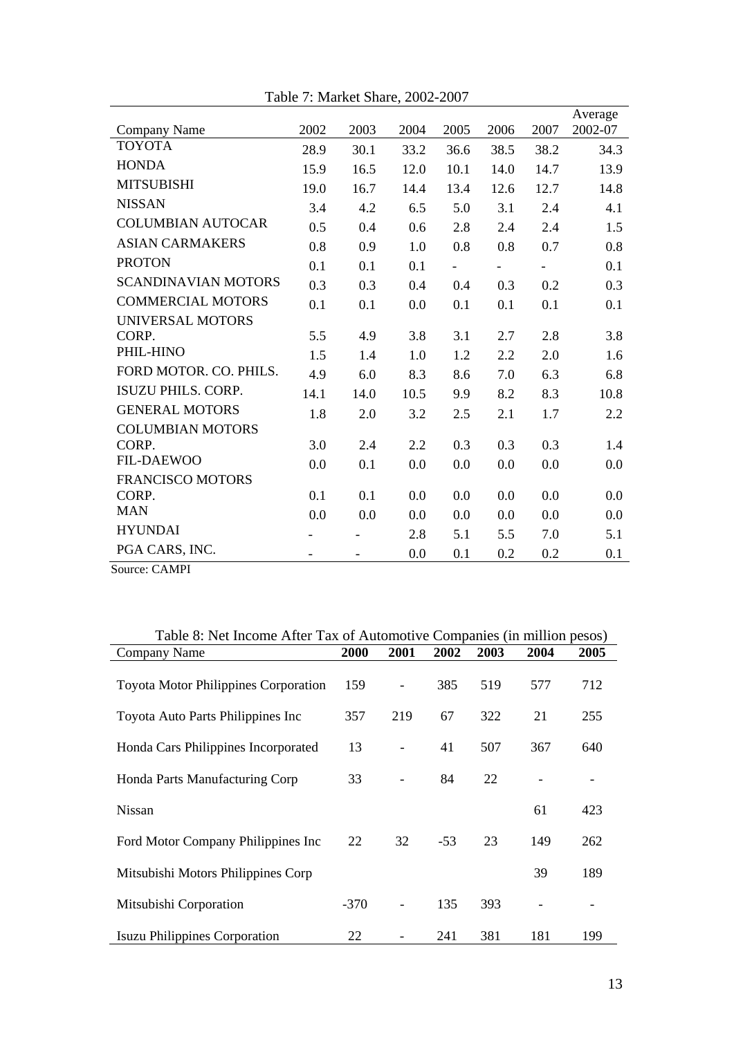|                            | Table 7: Market Share, 2002-2007 |      |      |                          |                          |      |                    |
|----------------------------|----------------------------------|------|------|--------------------------|--------------------------|------|--------------------|
| Company Name               | 2002                             | 2003 | 2004 | 2005                     | 2006                     | 2007 | Average<br>2002-07 |
| <b>TOYOTA</b>              | 28.9                             | 30.1 | 33.2 | 36.6                     | 38.5                     | 38.2 | 34.3               |
| <b>HONDA</b>               | 15.9                             | 16.5 | 12.0 | 10.1                     | 14.0                     | 14.7 | 13.9               |
| <b>MITSUBISHI</b>          | 19.0                             | 16.7 | 14.4 | 13.4                     | 12.6                     | 12.7 | 14.8               |
| <b>NISSAN</b>              | 3.4                              | 4.2  | 6.5  | 5.0                      | 3.1                      | 2.4  | 4.1                |
| <b>COLUMBIAN AUTOCAR</b>   | 0.5                              | 0.4  | 0.6  | 2.8                      | 2.4                      | 2.4  | 1.5                |
| <b>ASIAN CARMAKERS</b>     | 0.8                              | 0.9  | 1.0  | 0.8                      | 0.8                      | 0.7  | 0.8                |
| <b>PROTON</b>              | 0.1                              | 0.1  | 0.1  | $\overline{\phantom{0}}$ | $\overline{\phantom{0}}$ |      | 0.1                |
| <b>SCANDINAVIAN MOTORS</b> | 0.3                              | 0.3  | 0.4  | 0.4                      | 0.3                      | 0.2  | 0.3                |
| <b>COMMERCIAL MOTORS</b>   | 0.1                              | 0.1  | 0.0  | 0.1                      | 0.1                      | 0.1  | 0.1                |
| UNIVERSAL MOTORS           |                                  |      |      |                          |                          |      |                    |
| CORP.                      | 5.5                              | 4.9  | 3.8  | 3.1                      | 2.7                      | 2.8  | 3.8                |
| PHIL-HINO                  | 1.5                              | 1.4  | 1.0  | 1.2                      | 2.2                      | 2.0  | 1.6                |
| FORD MOTOR. CO. PHILS.     | 4.9                              | 6.0  | 8.3  | 8.6                      | 7.0                      | 6.3  | 6.8                |
| <b>ISUZU PHILS. CORP.</b>  | 14.1                             | 14.0 | 10.5 | 9.9                      | 8.2                      | 8.3  | 10.8               |
| <b>GENERAL MOTORS</b>      | 1.8                              | 2.0  | 3.2  | 2.5                      | 2.1                      | 1.7  | 2.2                |
| <b>COLUMBIAN MOTORS</b>    |                                  |      |      |                          |                          |      |                    |
| CORP.                      | 3.0                              | 2.4  | 2.2  | 0.3                      | 0.3                      | 0.3  | 1.4                |
| <b>FIL-DAEWOO</b>          | 0.0                              | 0.1  | 0.0  | 0.0                      | 0.0                      | 0.0  | 0.0                |
| <b>FRANCISCO MOTORS</b>    |                                  |      |      |                          |                          |      |                    |
| CORP.                      | 0.1                              | 0.1  | 0.0  | 0.0                      | 0.0                      | 0.0  | 0.0                |
| <b>MAN</b>                 | 0.0                              | 0.0  | 0.0  | 0.0                      | 0.0                      | 0.0  | 0.0                |
| <b>HYUNDAI</b>             |                                  |      | 2.8  | 5.1                      | 5.5                      | 7.0  | 5.1                |
|                            |                                  |      |      |                          |                          |      | 0.1                |
| PGA CARS, INC.             |                                  |      | 0.0  | 0.1                      | 0.2                      | 0.2  |                    |

Source: CAMPI

| Table 8: Net Income After Tax of Automotive Companies (in million pesos) |        |      |       |      |      |      |  |  |  |
|--------------------------------------------------------------------------|--------|------|-------|------|------|------|--|--|--|
| Company Name                                                             | 2000   | 2001 | 2002  | 2003 | 2004 | 2005 |  |  |  |
| <b>Toyota Motor Philippines Corporation</b>                              | 159    |      | 385   | 519  | 577  | 712  |  |  |  |
| Toyota Auto Parts Philippines Inc                                        | 357    | 219  | 67    | 322  | 21   | 255  |  |  |  |
| Honda Cars Philippines Incorporated                                      | 13     |      | 41    | 507  | 367  | 640  |  |  |  |
| Honda Parts Manufacturing Corp                                           | 33     |      | 84    | 22   |      |      |  |  |  |
| <b>Nissan</b>                                                            |        |      |       |      | 61   | 423  |  |  |  |
| Ford Motor Company Philippines Inc                                       | 22     | 32   | $-53$ | 23   | 149  | 262  |  |  |  |
| Mitsubishi Motors Philippines Corp                                       |        |      |       |      | 39   | 189  |  |  |  |
| Mitsubishi Corporation                                                   | $-370$ |      | 135   | 393  |      |      |  |  |  |
| <b>Isuzu Philippines Corporation</b>                                     | 22     |      | 241   | 381  | 181  | 199  |  |  |  |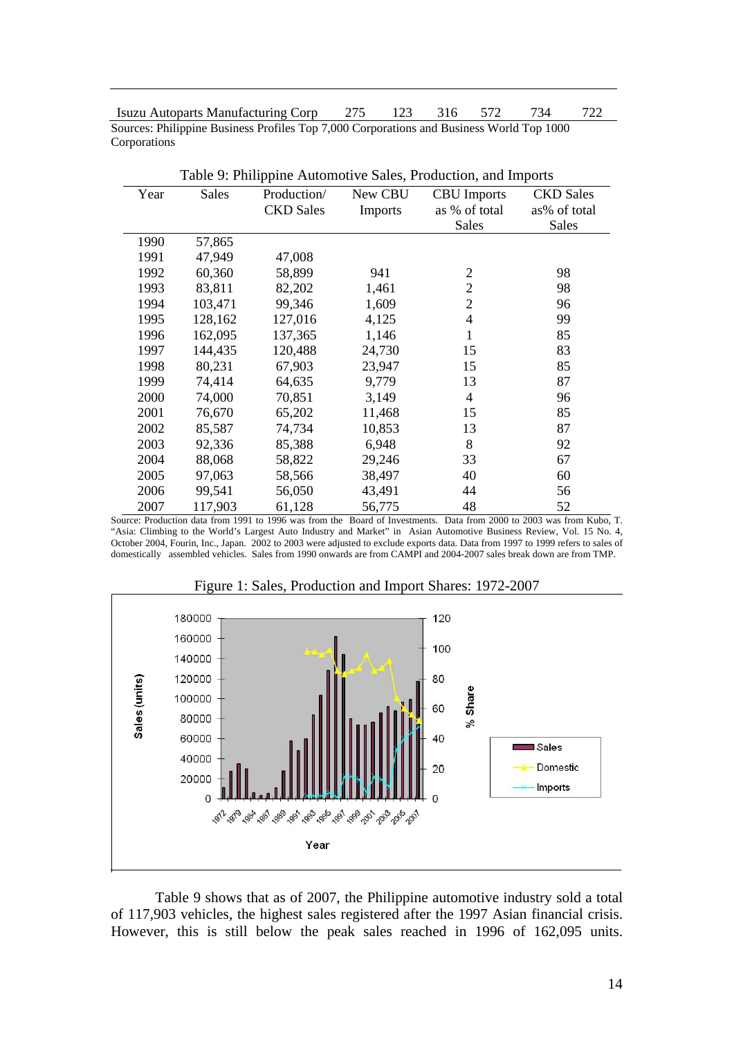Isuzu Autoparts Manufacturing Corp 275 123 316 572 734 722 Sources: Philippine Business Profiles Top 7,000 Corporations and Business World Top 1000 Corporations

|      |              |                  |                | raore 7. I impound rationfou to bares, I routetion, and imports |                  |
|------|--------------|------------------|----------------|-----------------------------------------------------------------|------------------|
| Year | <b>Sales</b> | Production/      | New CBU        | <b>CBU</b> Imports                                              | <b>CKD</b> Sales |
|      |              | <b>CKD</b> Sales | <b>Imports</b> | as % of total                                                   | as% of total     |
|      |              |                  |                | <b>Sales</b>                                                    | <b>Sales</b>     |
| 1990 | 57,865       |                  |                |                                                                 |                  |
| 1991 | 47,949       | 47,008           |                |                                                                 |                  |
| 1992 | 60,360       | 58,899           | 941            | $\overline{2}$                                                  | 98               |
| 1993 | 83,811       | 82,202           | 1,461          | $\overline{2}$                                                  | 98               |
| 1994 | 103,471      | 99,346           | 1,609          | $\overline{2}$                                                  | 96               |
| 1995 | 128,162      | 127,016          | 4,125          | $\overline{4}$                                                  | 99               |
| 1996 | 162,095      | 137,365          | 1,146          | 1                                                               | 85               |
| 1997 | 144,435      | 120,488          | 24,730         | 15                                                              | 83               |
| 1998 | 80,231       | 67,903           | 23,947         | 15                                                              | 85               |
| 1999 | 74,414       | 64,635           | 9,779          | 13                                                              | 87               |
| 2000 | 74,000       | 70,851           | 3,149          | $\overline{4}$                                                  | 96               |
| 2001 | 76,670       | 65,202           | 11,468         | 15                                                              | 85               |
| 2002 | 85,587       | 74,734           | 10,853         | 13                                                              | 87               |
| 2003 | 92,336       | 85,388           | 6,948          | 8                                                               | 92               |
| 2004 | 88,068       | 58,822           | 29,246         | 33                                                              | 67               |
| 2005 | 97,063       | 58,566           | 38,497         | 40                                                              | 60               |
| 2006 | 99,541       | 56,050           | 43,491         | 44                                                              | 56               |
| 2007 | 117,903      | 61,128           | 56,775         | 48                                                              | 52               |

Table 9: Philippine Automotive Sales, Production, and Imports

Source: Production data from 1991 to 1996 was from the Board of Investments. Data from 2000 to 2003 was from Kubo, T. "Asia: Climbing to the World's Largest Auto Industry and Market" in Asian Automotive Business Review, Vol. 15 No. 4, October 2004, Fourin, Inc., Japan. 2002 to 2003 were adjusted to exclude exports data. Data from 1997 to 1999 refers to sales of domestically assembled vehicles. Sales from 1990 onwards are from CAMPI and 2004-2007 sales break down are from TMP.



Figure 1: Sales, Production and Import Shares: 1972-2007

Table 9 shows that as of 2007, the Philippine automotive industry sold a total of 117,903 vehicles, the highest sales registered after the 1997 Asian financial crisis. However, this is still below the peak sales reached in 1996 of 162,095 units.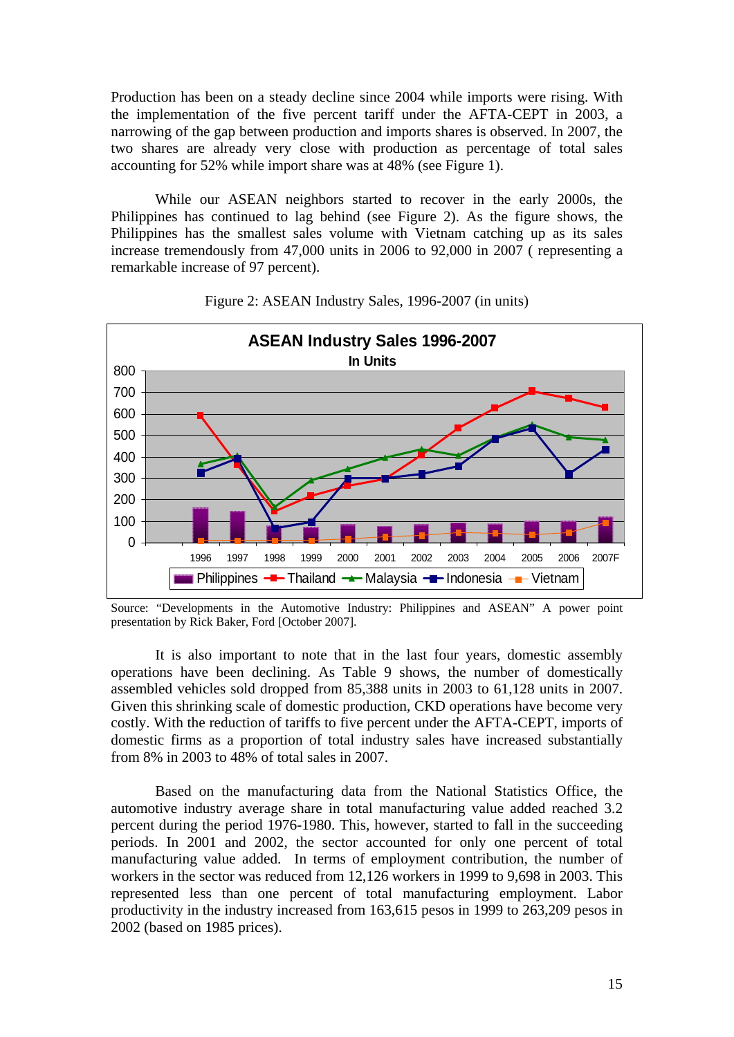Production has been on a steady decline since 2004 while imports were rising. With the implementation of the five percent tariff under the AFTA-CEPT in 2003, a narrowing of the gap between production and imports shares is observed. In 2007, the two shares are already very close with production as percentage of total sales accounting for 52% while import share was at 48% (see Figure 1).

While our ASEAN neighbors started to recover in the early 2000s, the Philippines has continued to lag behind (see Figure 2). As the figure shows, the Philippines has the smallest sales volume with Vietnam catching up as its sales increase tremendously from 47,000 units in 2006 to 92,000 in 2007 ( representing a remarkable increase of 97 percent).



Figure 2: ASEAN Industry Sales, 1996-2007 (in units)

It is also important to note that in the last four years, domestic assembly operations have been declining. As Table 9 shows, the number of domestically assembled vehicles sold dropped from 85,388 units in 2003 to 61,128 units in 2007. Given this shrinking scale of domestic production, CKD operations have become very costly. With the reduction of tariffs to five percent under the AFTA-CEPT, imports of domestic firms as a proportion of total industry sales have increased substantially from 8% in 2003 to 48% of total sales in 2007.

Based on the manufacturing data from the National Statistics Office, the automotive industry average share in total manufacturing value added reached 3.2 percent during the period 1976-1980. This, however, started to fall in the succeeding periods. In 2001 and 2002, the sector accounted for only one percent of total manufacturing value added. In terms of employment contribution, the number of workers in the sector was reduced from 12,126 workers in 1999 to 9,698 in 2003. This represented less than one percent of total manufacturing employment. Labor productivity in the industry increased from 163,615 pesos in 1999 to 263,209 pesos in 2002 (based on 1985 prices).

Source: "Developments in the Automotive Industry: Philippines and ASEAN" A power point presentation by Rick Baker, Ford [October 2007].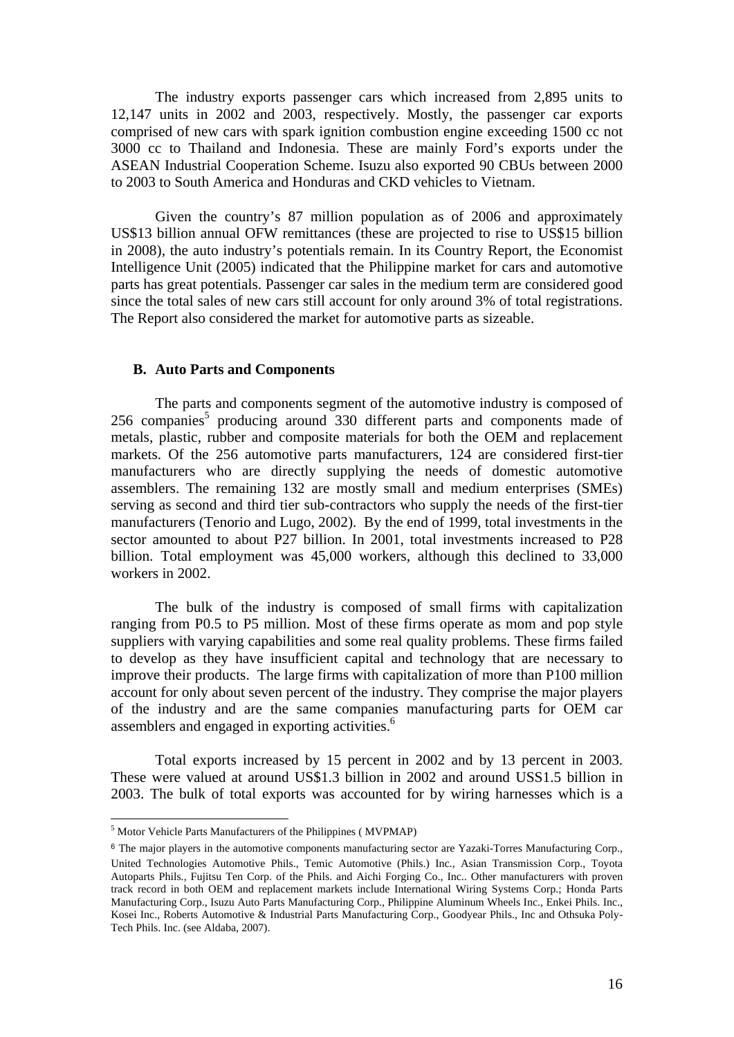The industry exports passenger cars which increased from 2,895 units to 12,147 units in 2002 and 2003, respectively. Mostly, the passenger car exports comprised of new cars with spark ignition combustion engine exceeding 1500 cc not 3000 cc to Thailand and Indonesia. These are mainly Ford's exports under the ASEAN Industrial Cooperation Scheme. Isuzu also exported 90 CBUs between 2000 to 2003 to South America and Honduras and CKD vehicles to Vietnam.

Given the country's 87 million population as of 2006 and approximately US\$13 billion annual OFW remittances (these are projected to rise to US\$15 billion in 2008), the auto industry's potentials remain. In its Country Report, the Economist Intelligence Unit (2005) indicated that the Philippine market for cars and automotive parts has great potentials. Passenger car sales in the medium term are considered good since the total sales of new cars still account for only around 3% of total registrations. The Report also considered the market for automotive parts as sizeable.

#### **B. Auto Parts and Components**

The parts and components segment of the automotive industry is composed of 256 companies<sup>5</sup> producing around 330 different parts and components made of metals, plastic, rubber and composite materials for both the OEM and replacement markets. Of the 256 automotive parts manufacturers, 124 are considered first-tier manufacturers who are directly supplying the needs of domestic automotive assemblers. The remaining 132 are mostly small and medium enterprises (SMEs) serving as second and third tier sub-contractors who supply the needs of the first-tier manufacturers (Tenorio and Lugo, 2002). By the end of 1999, total investments in the sector amounted to about P27 billion. In 2001, total investments increased to P28 billion. Total employment was 45,000 workers, although this declined to 33,000 workers in 2002.

The bulk of the industry is composed of small firms with capitalization ranging from P0.5 to P5 million. Most of these firms operate as mom and pop style suppliers with varying capabilities and some real quality problems. These firms failed to develop as they have insufficient capital and technology that are necessary to improve their products. The large firms with capitalization of more than P100 million account for only about seven percent of the industry. They comprise the major players of the industry and are the same companies manufacturing parts for OEM car assemblers and engaged in exporting activities.<sup>6</sup>

Total exports increased by 15 percent in 2002 and by 13 percent in 2003. These were valued at around US\$1.3 billion in 2002 and around USS1.5 billion in 2003. The bulk of total exports was accounted for by wiring harnesses which is a

1

<sup>5</sup> Motor Vehicle Parts Manufacturers of the Philippines ( MVPMAP)

<sup>6</sup> The major players in the automotive components manufacturing sector are Yazaki-Torres Manufacturing Corp., United Technologies Automotive Phils., Temic Automotive (Phils.) Inc., Asian Transmission Corp., Toyota Autoparts Phils., Fujitsu Ten Corp. of the Phils. and Aichi Forging Co., Inc.. Other manufacturers with proven track record in both OEM and replacement markets include International Wiring Systems Corp.; Honda Parts Manufacturing Corp., Isuzu Auto Parts Manufacturing Corp., Philippine Aluminum Wheels Inc., Enkei Phils. Inc., Kosei Inc., Roberts Automotive & Industrial Parts Manufacturing Corp., Goodyear Phils., Inc and Othsuka Poly-Tech Phils. Inc. (see Aldaba, 2007).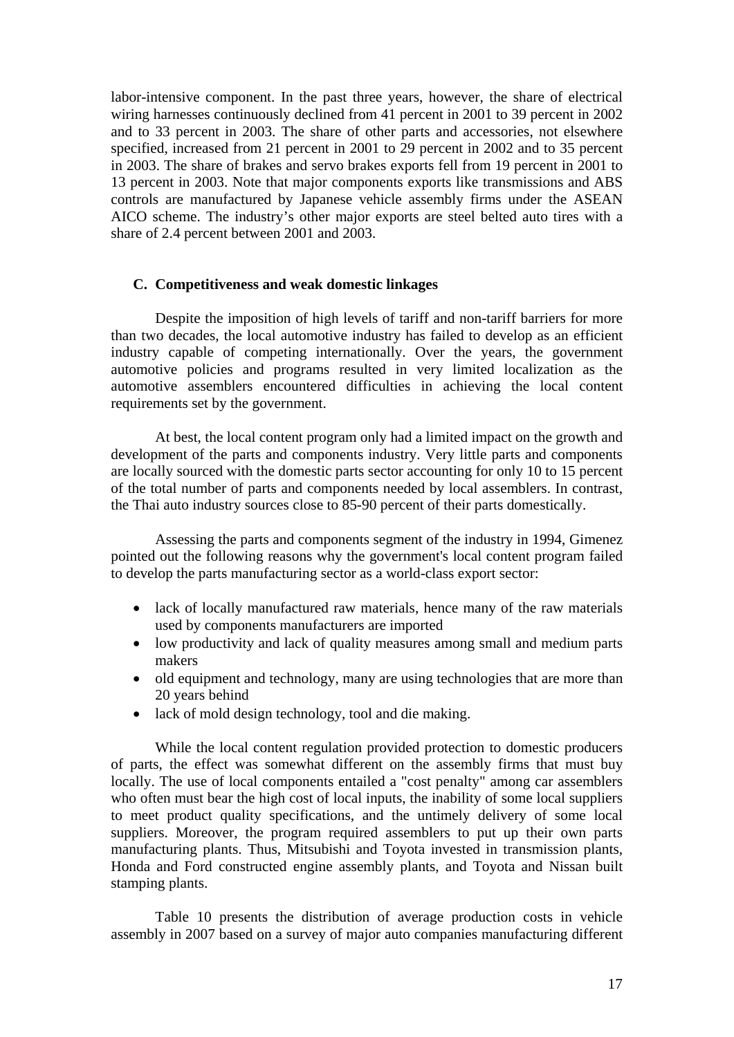labor-intensive component. In the past three years, however, the share of electrical wiring harnesses continuously declined from 41 percent in 2001 to 39 percent in 2002 and to 33 percent in 2003. The share of other parts and accessories, not elsewhere specified, increased from 21 percent in 2001 to 29 percent in 2002 and to 35 percent in 2003. The share of brakes and servo brakes exports fell from 19 percent in 2001 to 13 percent in 2003. Note that major components exports like transmissions and ABS controls are manufactured by Japanese vehicle assembly firms under the ASEAN AICO scheme. The industry's other major exports are steel belted auto tires with a share of 2.4 percent between 2001 and 2003.

#### **C. Competitiveness and weak domestic linkages**

Despite the imposition of high levels of tariff and non-tariff barriers for more than two decades, the local automotive industry has failed to develop as an efficient industry capable of competing internationally. Over the years, the government automotive policies and programs resulted in very limited localization as the automotive assemblers encountered difficulties in achieving the local content requirements set by the government.

At best, the local content program only had a limited impact on the growth and development of the parts and components industry. Very little parts and components are locally sourced with the domestic parts sector accounting for only 10 to 15 percent of the total number of parts and components needed by local assemblers. In contrast, the Thai auto industry sources close to 85-90 percent of their parts domestically.

Assessing the parts and components segment of the industry in 1994, Gimenez pointed out the following reasons why the government's local content program failed to develop the parts manufacturing sector as a world-class export sector:

- lack of locally manufactured raw materials, hence many of the raw materials used by components manufacturers are imported
- low productivity and lack of quality measures among small and medium parts makers
- old equipment and technology, many are using technologies that are more than 20 years behind
- lack of mold design technology, tool and die making.

While the local content regulation provided protection to domestic producers of parts, the effect was somewhat different on the assembly firms that must buy locally. The use of local components entailed a "cost penalty" among car assemblers who often must bear the high cost of local inputs, the inability of some local suppliers to meet product quality specifications, and the untimely delivery of some local suppliers. Moreover, the program required assemblers to put up their own parts manufacturing plants. Thus, Mitsubishi and Toyota invested in transmission plants, Honda and Ford constructed engine assembly plants, and Toyota and Nissan built stamping plants.

Table 10 presents the distribution of average production costs in vehicle assembly in 2007 based on a survey of major auto companies manufacturing different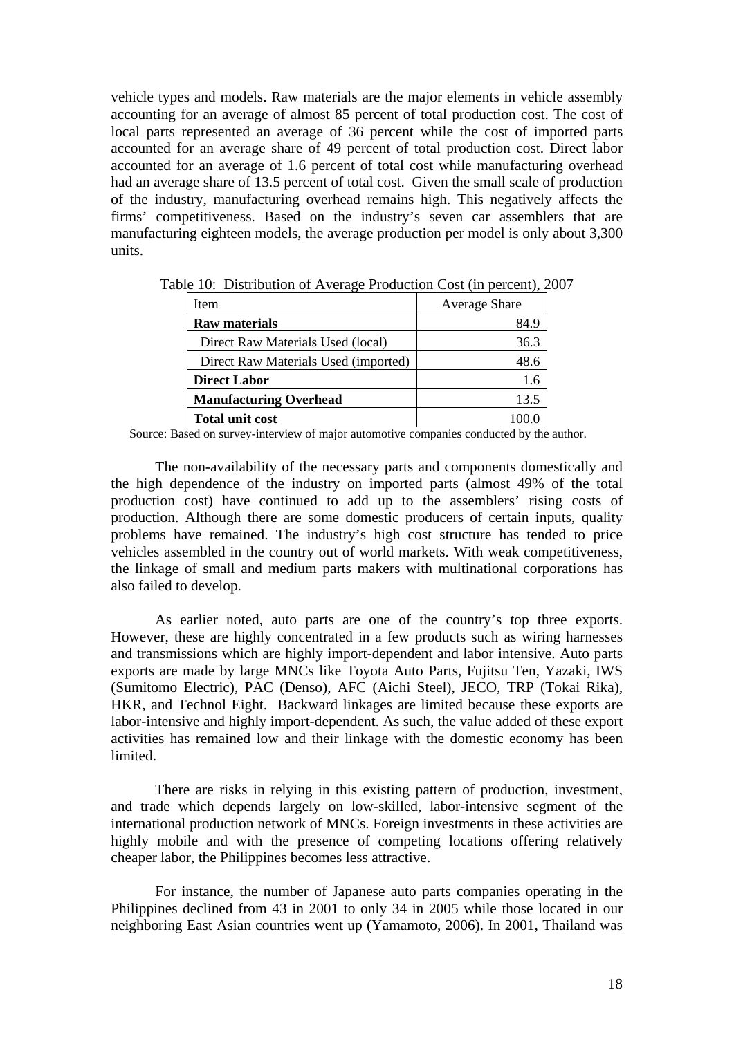vehicle types and models. Raw materials are the major elements in vehicle assembly accounting for an average of almost 85 percent of total production cost. The cost of local parts represented an average of 36 percent while the cost of imported parts accounted for an average share of 49 percent of total production cost. Direct labor accounted for an average of 1.6 percent of total cost while manufacturing overhead had an average share of 13.5 percent of total cost. Given the small scale of production of the industry, manufacturing overhead remains high. This negatively affects the firms' competitiveness. Based on the industry's seven car assemblers that are manufacturing eighteen models, the average production per model is only about 3,300 units.

| Item                                 | <b>Average Share</b> |
|--------------------------------------|----------------------|
| <b>Raw materials</b>                 | 84.9                 |
| Direct Raw Materials Used (local)    | 36.3                 |
| Direct Raw Materials Used (imported) | 48.6                 |
| <b>Direct Labor</b>                  | 1.6                  |
| <b>Manufacturing Overhead</b>        | 13.5                 |
| <b>Total unit cost</b>               |                      |

Table 10: Distribution of Average Production Cost (in percent), 2007

Source: Based on survey-interview of major automotive companies conducted by the author.

The non-availability of the necessary parts and components domestically and the high dependence of the industry on imported parts (almost 49% of the total production cost) have continued to add up to the assemblers' rising costs of production. Although there are some domestic producers of certain inputs, quality problems have remained. The industry's high cost structure has tended to price vehicles assembled in the country out of world markets. With weak competitiveness, the linkage of small and medium parts makers with multinational corporations has also failed to develop.

As earlier noted, auto parts are one of the country's top three exports. However, these are highly concentrated in a few products such as wiring harnesses and transmissions which are highly import-dependent and labor intensive. Auto parts exports are made by large MNCs like Toyota Auto Parts, Fujitsu Ten, Yazaki, IWS (Sumitomo Electric), PAC (Denso), AFC (Aichi Steel), JECO, TRP (Tokai Rika), HKR, and Technol Eight. Backward linkages are limited because these exports are labor-intensive and highly import-dependent. As such, the value added of these export activities has remained low and their linkage with the domestic economy has been limited.

There are risks in relying in this existing pattern of production, investment, and trade which depends largely on low-skilled, labor-intensive segment of the international production network of MNCs. Foreign investments in these activities are highly mobile and with the presence of competing locations offering relatively cheaper labor, the Philippines becomes less attractive.

For instance, the number of Japanese auto parts companies operating in the Philippines declined from 43 in 2001 to only 34 in 2005 while those located in our neighboring East Asian countries went up (Yamamoto, 2006). In 2001, Thailand was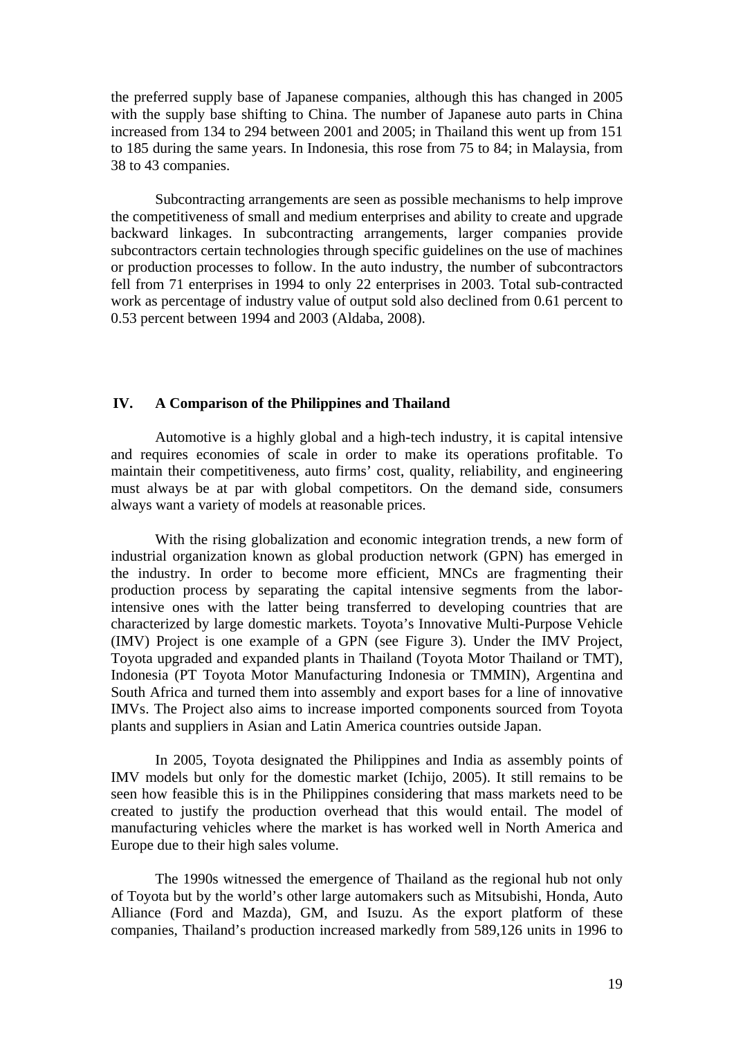the preferred supply base of Japanese companies, although this has changed in 2005 with the supply base shifting to China. The number of Japanese auto parts in China increased from 134 to 294 between 2001 and 2005; in Thailand this went up from 151 to 185 during the same years. In Indonesia, this rose from 75 to 84; in Malaysia, from 38 to 43 companies.

Subcontracting arrangements are seen as possible mechanisms to help improve the competitiveness of small and medium enterprises and ability to create and upgrade backward linkages. In subcontracting arrangements, larger companies provide subcontractors certain technologies through specific guidelines on the use of machines or production processes to follow. In the auto industry, the number of subcontractors fell from 71 enterprises in 1994 to only 22 enterprises in 2003. Total sub-contracted work as percentage of industry value of output sold also declined from 0.61 percent to 0.53 percent between 1994 and 2003 (Aldaba, 2008).

# **IV. A Comparison of the Philippines and Thailand**

Automotive is a highly global and a high-tech industry, it is capital intensive and requires economies of scale in order to make its operations profitable. To maintain their competitiveness, auto firms' cost, quality, reliability, and engineering must always be at par with global competitors. On the demand side, consumers always want a variety of models at reasonable prices.

With the rising globalization and economic integration trends, a new form of industrial organization known as global production network (GPN) has emerged in the industry. In order to become more efficient, MNCs are fragmenting their production process by separating the capital intensive segments from the laborintensive ones with the latter being transferred to developing countries that are characterized by large domestic markets. Toyota's Innovative Multi-Purpose Vehicle (IMV) Project is one example of a GPN (see Figure 3). Under the IMV Project, Toyota upgraded and expanded plants in Thailand (Toyota Motor Thailand or TMT), Indonesia (PT Toyota Motor Manufacturing Indonesia or TMMIN), Argentina and South Africa and turned them into assembly and export bases for a line of innovative IMVs. The Project also aims to increase imported components sourced from Toyota plants and suppliers in Asian and Latin America countries outside Japan.

 In 2005, Toyota designated the Philippines and India as assembly points of IMV models but only for the domestic market (Ichijo, 2005). It still remains to be seen how feasible this is in the Philippines considering that mass markets need to be created to justify the production overhead that this would entail. The model of manufacturing vehicles where the market is has worked well in North America and Europe due to their high sales volume.

The 1990s witnessed the emergence of Thailand as the regional hub not only of Toyota but by the world's other large automakers such as Mitsubishi, Honda, Auto Alliance (Ford and Mazda), GM, and Isuzu. As the export platform of these companies, Thailand's production increased markedly from 589,126 units in 1996 to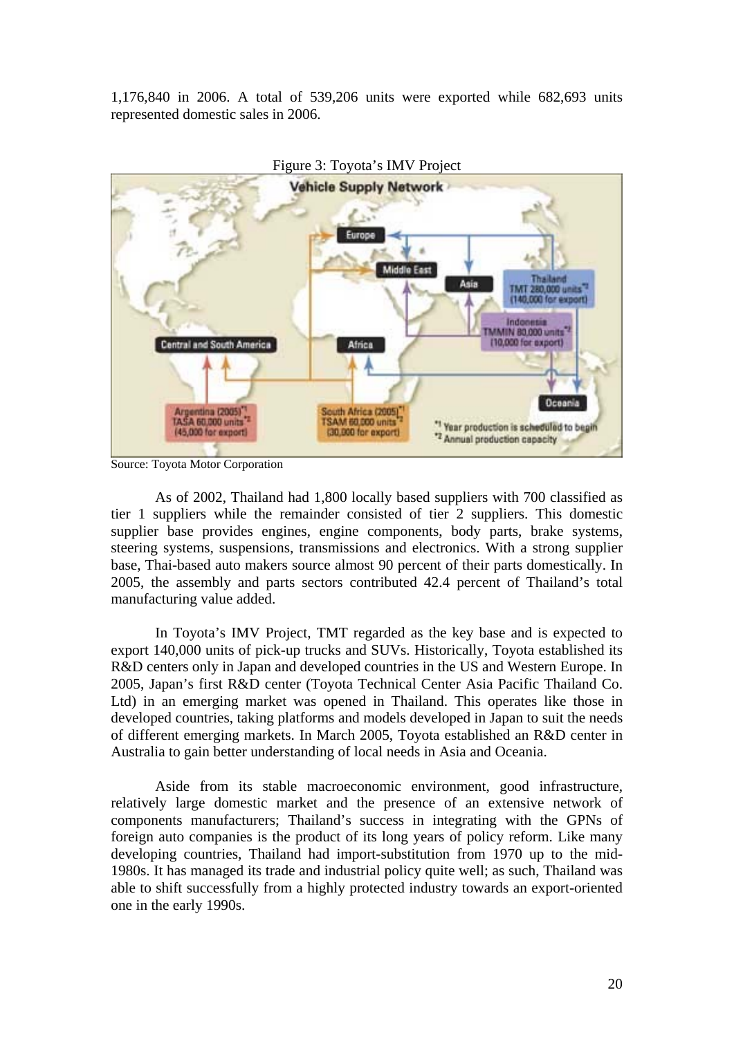1,176,840 in 2006. A total of 539,206 units were exported while 682,693 units represented domestic sales in 2006.



Figure 3: Toyota's IMV Project

As of 2002, Thailand had 1,800 locally based suppliers with 700 classified as tier 1 suppliers while the remainder consisted of tier 2 suppliers. This domestic supplier base provides engines, engine components, body parts, brake systems, steering systems, suspensions, transmissions and electronics. With a strong supplier base, Thai-based auto makers source almost 90 percent of their parts domestically. In 2005, the assembly and parts sectors contributed 42.4 percent of Thailand's total manufacturing value added.

In Toyota's IMV Project, TMT regarded as the key base and is expected to export 140,000 units of pick-up trucks and SUVs. Historically, Toyota established its R&D centers only in Japan and developed countries in the US and Western Europe. In 2005, Japan's first R&D center (Toyota Technical Center Asia Pacific Thailand Co. Ltd) in an emerging market was opened in Thailand. This operates like those in developed countries, taking platforms and models developed in Japan to suit the needs of different emerging markets. In March 2005, Toyota established an R&D center in Australia to gain better understanding of local needs in Asia and Oceania.

Aside from its stable macroeconomic environment, good infrastructure, relatively large domestic market and the presence of an extensive network of components manufacturers; Thailand's success in integrating with the GPNs of foreign auto companies is the product of its long years of policy reform. Like many developing countries, Thailand had import-substitution from 1970 up to the mid-1980s. It has managed its trade and industrial policy quite well; as such, Thailand was able to shift successfully from a highly protected industry towards an export-oriented one in the early 1990s.

Source: Toyota Motor Corporation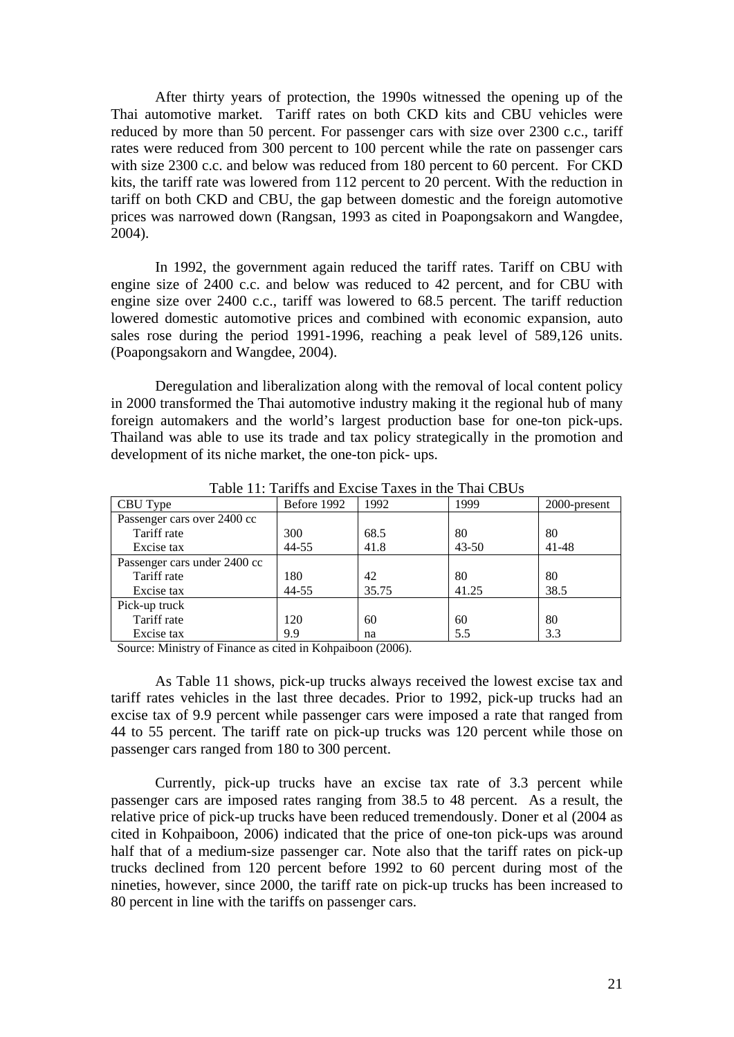After thirty years of protection, the 1990s witnessed the opening up of the Thai automotive market. Tariff rates on both CKD kits and CBU vehicles were reduced by more than 50 percent. For passenger cars with size over 2300 c.c., tariff rates were reduced from 300 percent to 100 percent while the rate on passenger cars with size 2300 c.c. and below was reduced from 180 percent to 60 percent. For CKD kits, the tariff rate was lowered from 112 percent to 20 percent. With the reduction in tariff on both CKD and CBU, the gap between domestic and the foreign automotive prices was narrowed down (Rangsan, 1993 as cited in Poapongsakorn and Wangdee, 2004).

In 1992, the government again reduced the tariff rates. Tariff on CBU with engine size of 2400 c.c. and below was reduced to 42 percent, and for CBU with engine size over 2400 c.c., tariff was lowered to 68.5 percent. The tariff reduction lowered domestic automotive prices and combined with economic expansion, auto sales rose during the period 1991-1996, reaching a peak level of 589,126 units. (Poapongsakorn and Wangdee, 2004).

Deregulation and liberalization along with the removal of local content policy in 2000 transformed the Thai automotive industry making it the regional hub of many foreign automakers and the world's largest production base for one-ton pick-ups. Thailand was able to use its trade and tax policy strategically in the promotion and development of its niche market, the one-ton pick- ups.

| CBU Type                     | Before 1992 | 1992  | 1999      | 2000-present |
|------------------------------|-------------|-------|-----------|--------------|
| Passenger cars over 2400 cc  |             |       |           |              |
| Tariff rate                  | 300         | 68.5  | 80        | 80           |
| Excise tax                   | 44-55       | 41.8  | $43 - 50$ | $41 - 48$    |
| Passenger cars under 2400 cc |             |       |           |              |
| Tariff rate                  | 180         | 42    | 80        | 80           |
| Excise tax                   | 44-55       | 35.75 | 41.25     | 38.5         |
| Pick-up truck                |             |       |           |              |
| Tariff rate                  | 120         | 60    | 60        | 80           |
| Excise tax                   | 9.9         | na    | 5.5       | 3.3          |

Table 11: Tariffs and Excise Taxes in the Thai CBUs

Source: Ministry of Finance as cited in Kohpaiboon (2006).

As Table 11 shows, pick-up trucks always received the lowest excise tax and tariff rates vehicles in the last three decades. Prior to 1992, pick-up trucks had an excise tax of 9.9 percent while passenger cars were imposed a rate that ranged from 44 to 55 percent. The tariff rate on pick-up trucks was 120 percent while those on passenger cars ranged from 180 to 300 percent.

Currently, pick-up trucks have an excise tax rate of 3.3 percent while passenger cars are imposed rates ranging from 38.5 to 48 percent. As a result, the relative price of pick-up trucks have been reduced tremendously. Doner et al (2004 as cited in Kohpaiboon, 2006) indicated that the price of one-ton pick-ups was around half that of a medium-size passenger car. Note also that the tariff rates on pick-up trucks declined from 120 percent before 1992 to 60 percent during most of the nineties, however, since 2000, the tariff rate on pick-up trucks has been increased to 80 percent in line with the tariffs on passenger cars.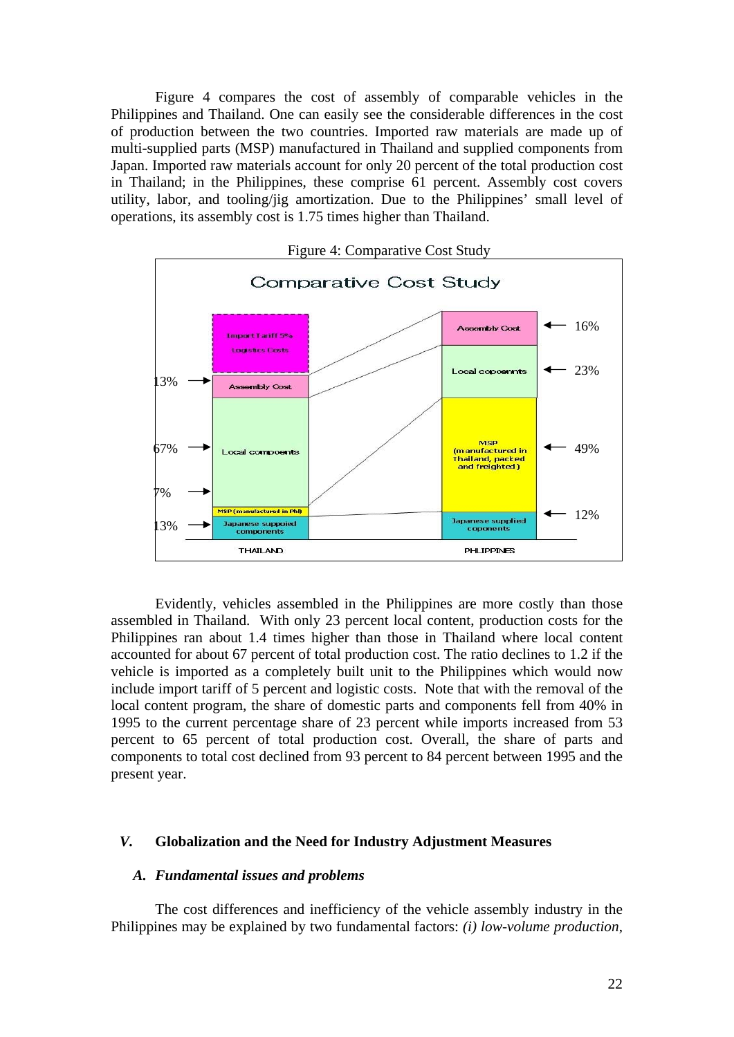Figure 4 compares the cost of assembly of comparable vehicles in the Philippines and Thailand. One can easily see the considerable differences in the cost of production between the two countries. Imported raw materials are made up of multi-supplied parts (MSP) manufactured in Thailand and supplied components from Japan. Imported raw materials account for only 20 percent of the total production cost in Thailand; in the Philippines, these comprise 61 percent. Assembly cost covers utility, labor, and tooling/jig amortization. Due to the Philippines' small level of operations, its assembly cost is 1.75 times higher than Thailand.



Evidently, vehicles assembled in the Philippines are more costly than those assembled in Thailand. With only 23 percent local content, production costs for the Philippines ran about 1.4 times higher than those in Thailand where local content accounted for about 67 percent of total production cost. The ratio declines to 1.2 if the vehicle is imported as a completely built unit to the Philippines which would now include import tariff of 5 percent and logistic costs. Note that with the removal of the local content program, the share of domestic parts and components fell from 40% in 1995 to the current percentage share of 23 percent while imports increased from 53 percent to 65 percent of total production cost. Overall, the share of parts and components to total cost declined from 93 percent to 84 percent between 1995 and the present year.

# *V.* **Globalization and the Need for Industry Adjustment Measures**

## *A. Fundamental issues and problems*

The cost differences and inefficiency of the vehicle assembly industry in the Philippines may be explained by two fundamental factors: *(i) low-volume production*,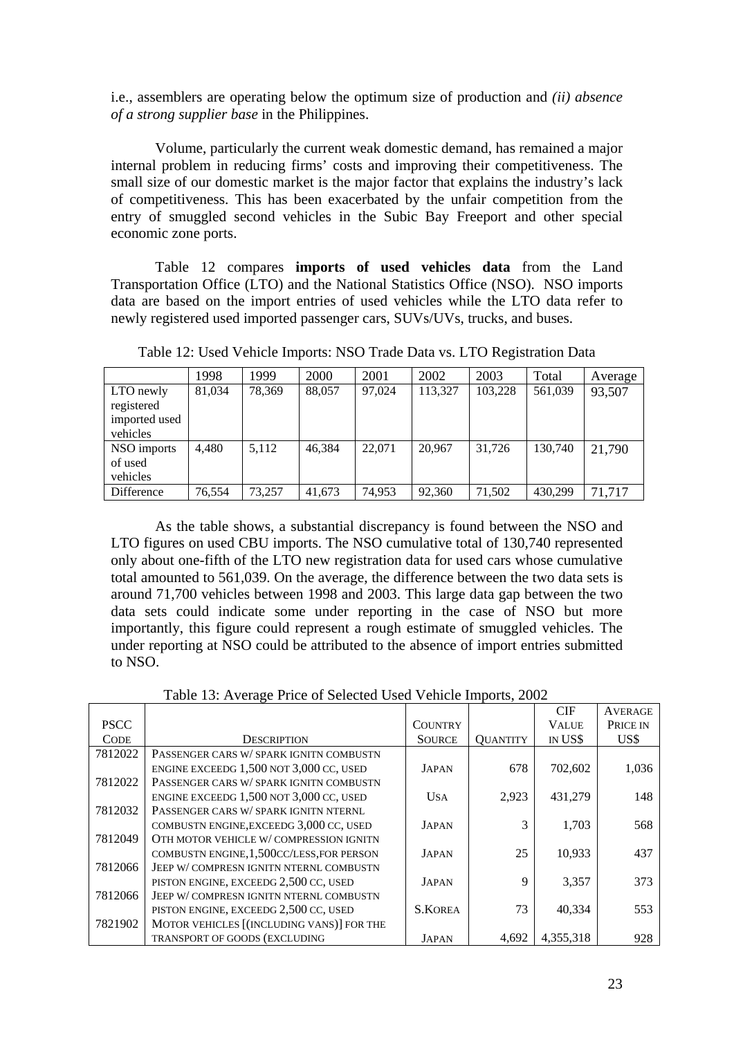i.e., assemblers are operating below the optimum size of production and *(ii) absence of a strong supplier base* in the Philippines.

Volume, particularly the current weak domestic demand, has remained a major internal problem in reducing firms' costs and improving their competitiveness. The small size of our domestic market is the major factor that explains the industry's lack of competitiveness. This has been exacerbated by the unfair competition from the entry of smuggled second vehicles in the Subic Bay Freeport and other special economic zone ports.

Table 12 compares **imports of used vehicles data** from the Land Transportation Office (LTO) and the National Statistics Office (NSO). NSO imports data are based on the import entries of used vehicles while the LTO data refer to newly registered used imported passenger cars, SUVs/UVs, trucks, and buses.

|               | 1998   | 1999   | 2000   | 2001   | 2002    | 2003    | Total   | Average |
|---------------|--------|--------|--------|--------|---------|---------|---------|---------|
| LTO newly     | 81,034 | 78.369 | 88,057 | 97.024 | 113,327 | 103,228 | 561,039 | 93,507  |
| registered    |        |        |        |        |         |         |         |         |
| imported used |        |        |        |        |         |         |         |         |
| vehicles      |        |        |        |        |         |         |         |         |
| NSO imports   | 4,480  | 5.112  | 46,384 | 22,071 | 20.967  | 31.726  | 130,740 | 21,790  |
| of used       |        |        |        |        |         |         |         |         |
| vehicles      |        |        |        |        |         |         |         |         |
| Difference    | 76.554 | 73.257 | 41,673 | 74.953 | 92,360  | 71,502  | 430.299 | 71,717  |

Table 12: Used Vehicle Imports: NSO Trade Data vs. LTO Registration Data

As the table shows, a substantial discrepancy is found between the NSO and LTO figures on used CBU imports. The NSO cumulative total of 130,740 represented only about one-fifth of the LTO new registration data for used cars whose cumulative total amounted to 561,039. On the average, the difference between the two data sets is around 71,700 vehicles between 1998 and 2003. This large data gap between the two data sets could indicate some under reporting in the case of NSO but more importantly, this figure could represent a rough estimate of smuggled vehicles. The under reporting at NSO could be attributed to the absence of import entries submitted to NSO.

|             |                                             |                |                 | <b>CIF</b>   | <b>AVERAGE</b> |
|-------------|---------------------------------------------|----------------|-----------------|--------------|----------------|
| <b>PSCC</b> |                                             | <b>COUNTRY</b> |                 | <b>VALUE</b> | PRICE IN       |
| <b>CODE</b> | <b>DESCRIPTION</b>                          | <b>SOURCE</b>  | <b>OUANTITY</b> | IN US\$      | US\$           |
| 7812022     | PASSENGER CARS W/ SPARK IGNITN COMBUSTN     |                |                 |              |                |
|             | ENGINE EXCEEDG $1,500$ NOT $3,000$ CC, USED | <b>JAPAN</b>   | 678             | 702,602      | 1,036          |
| 7812022     | PASSENGER CARS W/ SPARK IGNITN COMBUSTN     |                |                 |              |                |
|             | ENGINE EXCEEDG $1,500$ NOT $3,000$ CC, USED | <b>USA</b>     | 2,923           | 431.279      | 148            |
| 7812032     | PASSENGER CARS W/SPARK IGNITN NTERNL        |                |                 |              |                |
|             | COMBUSTN ENGINE, EXCEEDG 3,000 CC, USED     | <b>JAPAN</b>   |                 | 1,703        | 568            |
| 7812049     | OTH MOTOR VEHICLE W/COMPRESSION IGNITN      |                |                 |              |                |
|             | COMBUSTN ENGINE, 1,500CC/LESS, FOR PERSON   | <b>JAPAN</b>   | 25              | 10,933       | 437            |
| 7812066     | JEEP W/COMPRESN IGNITN NTERNL COMBUSTN      |                |                 |              |                |
|             | PISTON ENGINE, EXCEEDG 2,500 CC, USED       | <b>JAPAN</b>   | 9               | 3,357        | 373            |
| 7812066     | JEEP W/COMPRESN IGNITN NTERNL COMBUSTN      |                |                 |              |                |
|             | PISTON ENGINE, EXCEEDG 2,500 CC, USED       | <b>S.KOREA</b> | 73              | 40.334       | 553            |
| 7821902     | MOTOR VEHICLES [(INCLUDING VANS)] FOR THE   |                |                 |              |                |
|             | TRANSPORT OF GOODS (EXCLUDING               | JAPAN          | 4.692           | 4,355,318    | 928            |

Table 13: Average Price of Selected Used Vehicle Imports, 2002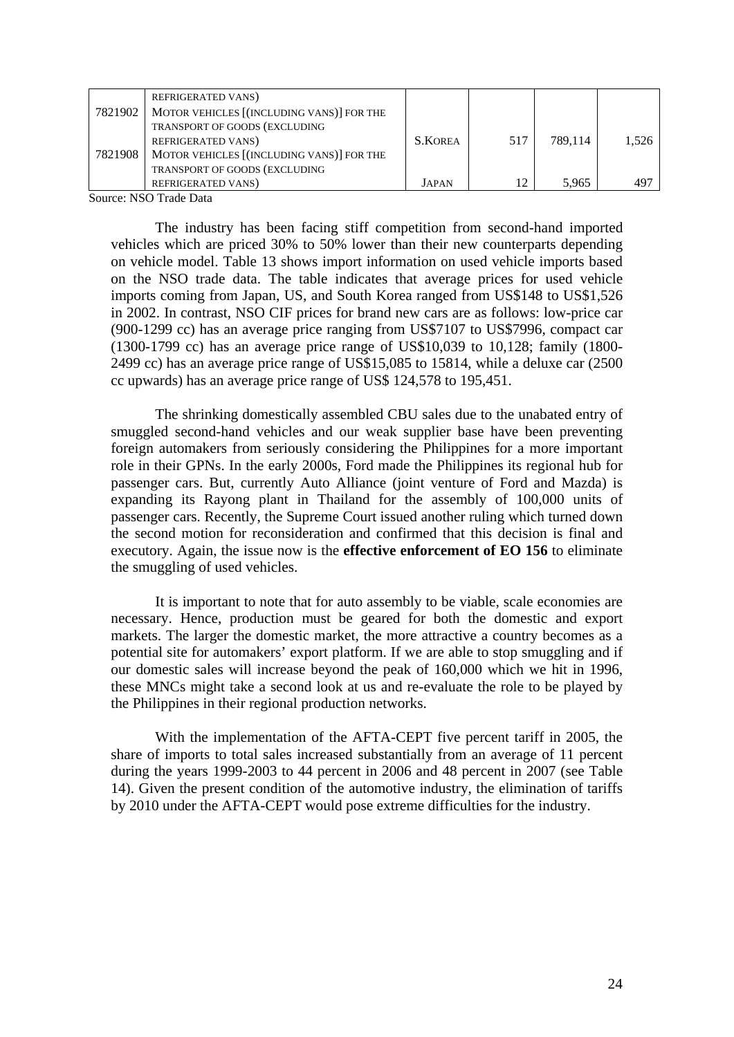|         | <b>REFRIGERATED VANS)</b>                 |                |     |         |       |
|---------|-------------------------------------------|----------------|-----|---------|-------|
| 7821902 | MOTOR VEHICLES [(INCLUDING VANS)] FOR THE |                |     |         |       |
|         | TRANSPORT OF GOODS (EXCLUDING             |                |     |         |       |
|         | REFRIGERATED VANS)                        | <b>S.KOREA</b> | 517 | 789.114 | 1,526 |
| 7821908 | MOTOR VEHICLES [(INCLUDING VANS)] FOR THE |                |     |         |       |
|         | TRANSPORT OF GOODS (EXCLUDING             |                |     |         |       |
|         | REFRIGERATED VANS)                        | JAPAN          |     | 5.965   | 497   |

Source: NSO Trade Data

The industry has been facing stiff competition from second-hand imported vehicles which are priced 30% to 50% lower than their new counterparts depending on vehicle model. Table 13 shows import information on used vehicle imports based on the NSO trade data. The table indicates that average prices for used vehicle imports coming from Japan, US, and South Korea ranged from US\$148 to US\$1,526 in 2002. In contrast, NSO CIF prices for brand new cars are as follows: low-price car (900-1299 cc) has an average price ranging from US\$7107 to US\$7996, compact car (1300-1799 cc) has an average price range of US\$10,039 to 10,128; family (1800- 2499 cc) has an average price range of US\$15,085 to 15814, while a deluxe car (2500 cc upwards) has an average price range of US\$ 124,578 to 195,451.

The shrinking domestically assembled CBU sales due to the unabated entry of smuggled second-hand vehicles and our weak supplier base have been preventing foreign automakers from seriously considering the Philippines for a more important role in their GPNs. In the early 2000s, Ford made the Philippines its regional hub for passenger cars. But, currently Auto Alliance (joint venture of Ford and Mazda) is expanding its Rayong plant in Thailand for the assembly of 100,000 units of passenger cars. Recently, the Supreme Court issued another ruling which turned down the second motion for reconsideration and confirmed that this decision is final and executory. Again, the issue now is the **effective enforcement of EO 156** to eliminate the smuggling of used vehicles.

It is important to note that for auto assembly to be viable, scale economies are necessary. Hence, production must be geared for both the domestic and export markets. The larger the domestic market, the more attractive a country becomes as a potential site for automakers' export platform. If we are able to stop smuggling and if our domestic sales will increase beyond the peak of 160,000 which we hit in 1996, these MNCs might take a second look at us and re-evaluate the role to be played by the Philippines in their regional production networks.

With the implementation of the AFTA-CEPT five percent tariff in 2005, the share of imports to total sales increased substantially from an average of 11 percent during the years 1999-2003 to 44 percent in 2006 and 48 percent in 2007 (see Table 14). Given the present condition of the automotive industry, the elimination of tariffs by 2010 under the AFTA-CEPT would pose extreme difficulties for the industry.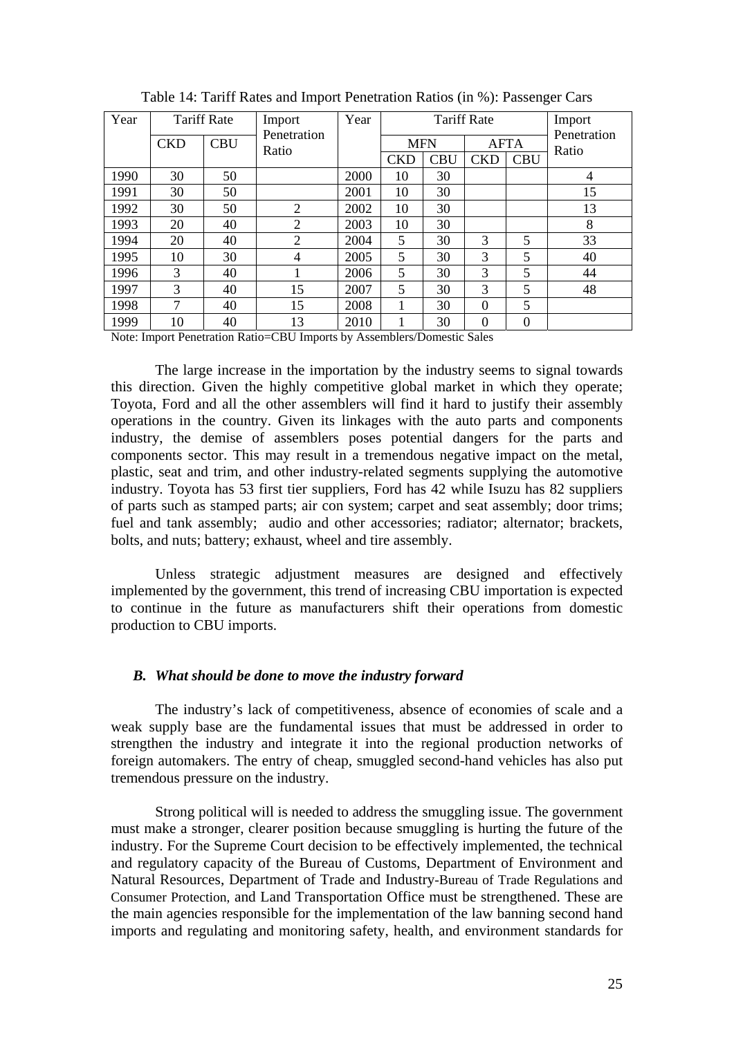| Year |            | <b>Tariff Rate</b> | Import               | Year |            |            | <b>Tariff Rate</b> |             | Import               |
|------|------------|--------------------|----------------------|------|------------|------------|--------------------|-------------|----------------------|
|      | <b>CKD</b> | <b>CBU</b>         | Penetration<br>Ratio |      | <b>MFN</b> |            |                    | <b>AFTA</b> | Penetration<br>Ratio |
|      |            |                    |                      |      | <b>CKD</b> | <b>CBU</b> | <b>CKD</b>         | <b>CBU</b>  |                      |
| 1990 | 30         | 50                 |                      | 2000 | 10         | 30         |                    |             | 4                    |
| 1991 | 30         | 50                 |                      | 2001 | 10         | 30         |                    |             | 15                   |
| 1992 | 30         | 50                 | $\overline{2}$       | 2002 | 10         | 30         |                    |             | 13                   |
| 1993 | 20         | 40                 | $\overline{2}$       | 2003 | 10         | 30         |                    |             | 8                    |
| 1994 | 20         | 40                 | $\overline{2}$       | 2004 | 5          | 30         | 3                  | 5           | 33                   |
| 1995 | 10         | 30                 | 4                    | 2005 | 5          | 30         | 3                  | 5           | 40                   |
| 1996 | 3          | 40                 |                      | 2006 | 5          | 30         | 3                  | 5           | 44                   |
| 1997 | 3          | 40                 | 15                   | 2007 | 5          | 30         | 3                  | 5           | 48                   |
| 1998 | 7          | 40                 | 15                   | 2008 |            | 30         | $\Omega$           | 5           |                      |
| 1999 | 10         | 40                 | 13                   | 2010 |            | 30         | $\theta$           | $\Omega$    |                      |

Table 14: Tariff Rates and Import Penetration Ratios (in %): Passenger Cars

Note: Import Penetration Ratio=CBU Imports by Assemblers/Domestic Sales

The large increase in the importation by the industry seems to signal towards this direction. Given the highly competitive global market in which they operate; Toyota, Ford and all the other assemblers will find it hard to justify their assembly operations in the country. Given its linkages with the auto parts and components industry, the demise of assemblers poses potential dangers for the parts and components sector. This may result in a tremendous negative impact on the metal, plastic, seat and trim, and other industry-related segments supplying the automotive industry. Toyota has 53 first tier suppliers, Ford has 42 while Isuzu has 82 suppliers of parts such as stamped parts; air con system; carpet and seat assembly; door trims; fuel and tank assembly; audio and other accessories; radiator; alternator; brackets, bolts, and nuts; battery; exhaust, wheel and tire assembly.

Unless strategic adjustment measures are designed and effectively implemented by the government, this trend of increasing CBU importation is expected to continue in the future as manufacturers shift their operations from domestic production to CBU imports.

#### *B. What should be done to move the industry forward*

The industry's lack of competitiveness, absence of economies of scale and a weak supply base are the fundamental issues that must be addressed in order to strengthen the industry and integrate it into the regional production networks of foreign automakers. The entry of cheap, smuggled second-hand vehicles has also put tremendous pressure on the industry.

Strong political will is needed to address the smuggling issue. The government must make a stronger, clearer position because smuggling is hurting the future of the industry. For the Supreme Court decision to be effectively implemented, the technical and regulatory capacity of the Bureau of Customs, Department of Environment and Natural Resources, Department of Trade and Industry-Bureau of Trade Regulations and Consumer Protection, and Land Transportation Office must be strengthened. These are the main agencies responsible for the implementation of the law banning second hand imports and regulating and monitoring safety, health, and environment standards for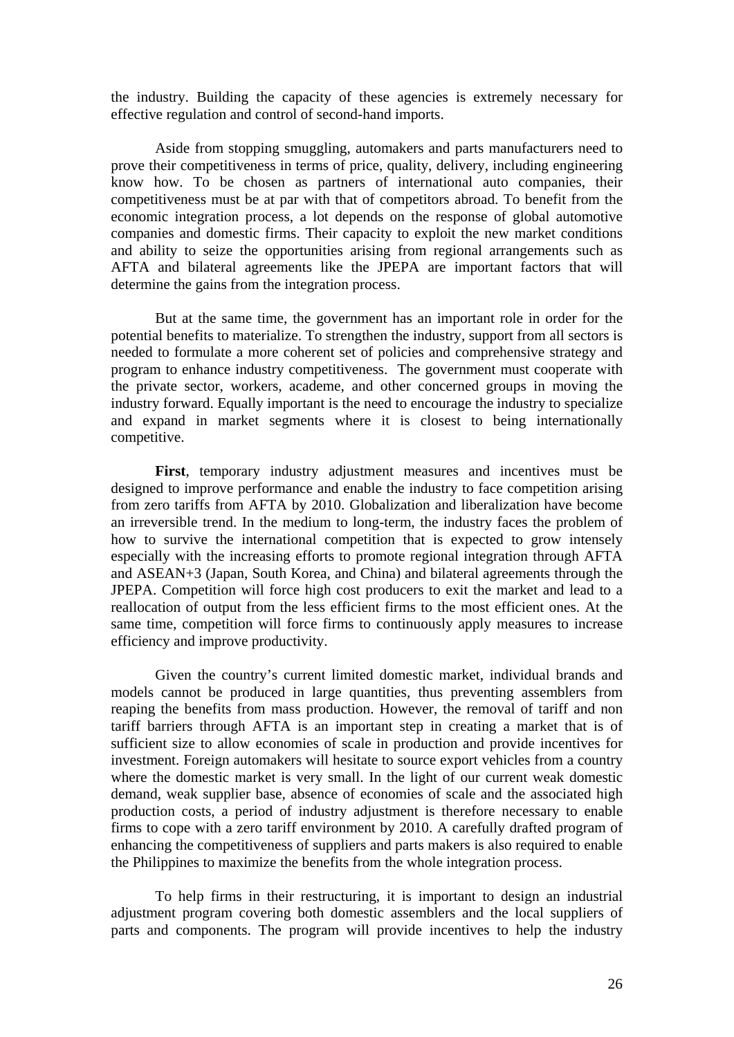the industry. Building the capacity of these agencies is extremely necessary for effective regulation and control of second-hand imports.

Aside from stopping smuggling, automakers and parts manufacturers need to prove their competitiveness in terms of price, quality, delivery, including engineering know how. To be chosen as partners of international auto companies, their competitiveness must be at par with that of competitors abroad. To benefit from the economic integration process, a lot depends on the response of global automotive companies and domestic firms. Their capacity to exploit the new market conditions and ability to seize the opportunities arising from regional arrangements such as AFTA and bilateral agreements like the JPEPA are important factors that will determine the gains from the integration process.

But at the same time, the government has an important role in order for the potential benefits to materialize. To strengthen the industry, support from all sectors is needed to formulate a more coherent set of policies and comprehensive strategy and program to enhance industry competitiveness. The government must cooperate with the private sector, workers, academe, and other concerned groups in moving the industry forward. Equally important is the need to encourage the industry to specialize and expand in market segments where it is closest to being internationally competitive.

**First**, temporary industry adjustment measures and incentives must be designed to improve performance and enable the industry to face competition arising from zero tariffs from AFTA by 2010. Globalization and liberalization have become an irreversible trend. In the medium to long-term, the industry faces the problem of how to survive the international competition that is expected to grow intensely especially with the increasing efforts to promote regional integration through AFTA and ASEAN+3 (Japan, South Korea, and China) and bilateral agreements through the JPEPA. Competition will force high cost producers to exit the market and lead to a reallocation of output from the less efficient firms to the most efficient ones. At the same time, competition will force firms to continuously apply measures to increase efficiency and improve productivity.

Given the country's current limited domestic market, individual brands and models cannot be produced in large quantities, thus preventing assemblers from reaping the benefits from mass production. However, the removal of tariff and non tariff barriers through AFTA is an important step in creating a market that is of sufficient size to allow economies of scale in production and provide incentives for investment. Foreign automakers will hesitate to source export vehicles from a country where the domestic market is very small. In the light of our current weak domestic demand, weak supplier base, absence of economies of scale and the associated high production costs, a period of industry adjustment is therefore necessary to enable firms to cope with a zero tariff environment by 2010. A carefully drafted program of enhancing the competitiveness of suppliers and parts makers is also required to enable the Philippines to maximize the benefits from the whole integration process.

To help firms in their restructuring, it is important to design an industrial adjustment program covering both domestic assemblers and the local suppliers of parts and components. The program will provide incentives to help the industry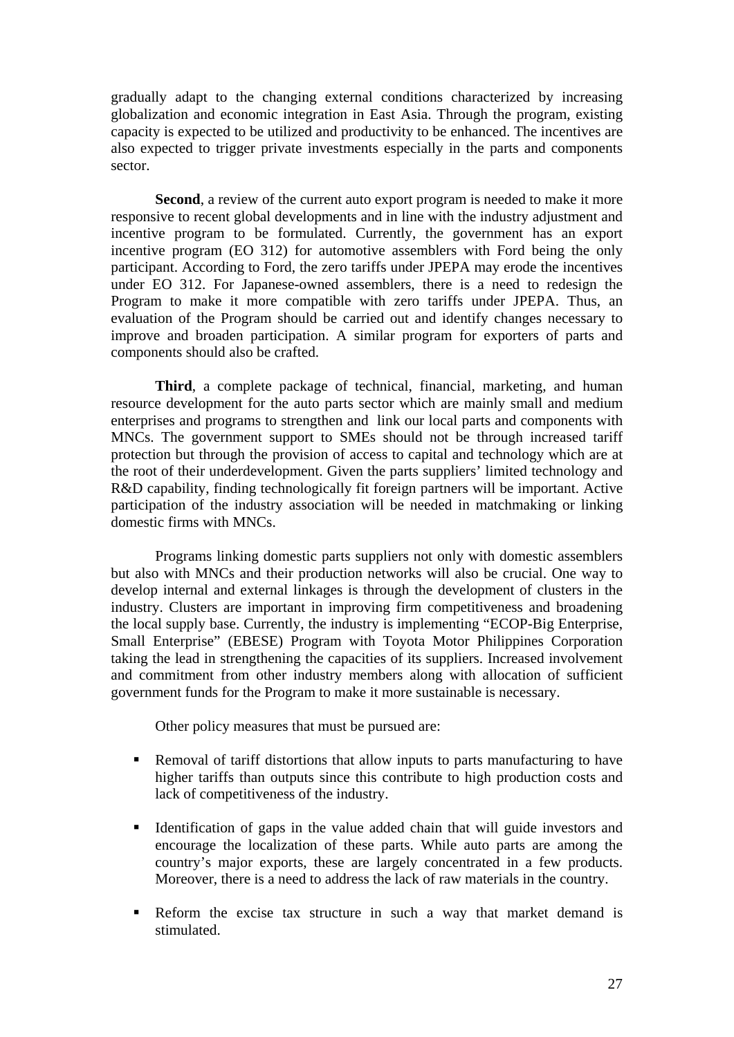gradually adapt to the changing external conditions characterized by increasing globalization and economic integration in East Asia. Through the program, existing capacity is expected to be utilized and productivity to be enhanced. The incentives are also expected to trigger private investments especially in the parts and components sector.

**Second**, a review of the current auto export program is needed to make it more responsive to recent global developments and in line with the industry adjustment and incentive program to be formulated. Currently, the government has an export incentive program (EO 312) for automotive assemblers with Ford being the only participant. According to Ford, the zero tariffs under JPEPA may erode the incentives under EO 312. For Japanese-owned assemblers, there is a need to redesign the Program to make it more compatible with zero tariffs under JPEPA. Thus, an evaluation of the Program should be carried out and identify changes necessary to improve and broaden participation. A similar program for exporters of parts and components should also be crafted.

**Third**, a complete package of technical, financial, marketing, and human resource development for the auto parts sector which are mainly small and medium enterprises and programs to strengthen and link our local parts and components with MNCs. The government support to SMEs should not be through increased tariff protection but through the provision of access to capital and technology which are at the root of their underdevelopment. Given the parts suppliers' limited technology and R&D capability, finding technologically fit foreign partners will be important. Active participation of the industry association will be needed in matchmaking or linking domestic firms with MNCs.

Programs linking domestic parts suppliers not only with domestic assemblers but also with MNCs and their production networks will also be crucial. One way to develop internal and external linkages is through the development of clusters in the industry. Clusters are important in improving firm competitiveness and broadening the local supply base. Currently, the industry is implementing "ECOP-Big Enterprise, Small Enterprise" (EBESE) Program with Toyota Motor Philippines Corporation taking the lead in strengthening the capacities of its suppliers. Increased involvement and commitment from other industry members along with allocation of sufficient government funds for the Program to make it more sustainable is necessary.

Other policy measures that must be pursued are:

- **Removal of tariff distortions that allow inputs to parts manufacturing to have** higher tariffs than outputs since this contribute to high production costs and lack of competitiveness of the industry.
- Identification of gaps in the value added chain that will guide investors and encourage the localization of these parts. While auto parts are among the country's major exports, these are largely concentrated in a few products. Moreover, there is a need to address the lack of raw materials in the country.
- Reform the excise tax structure in such a way that market demand is stimulated.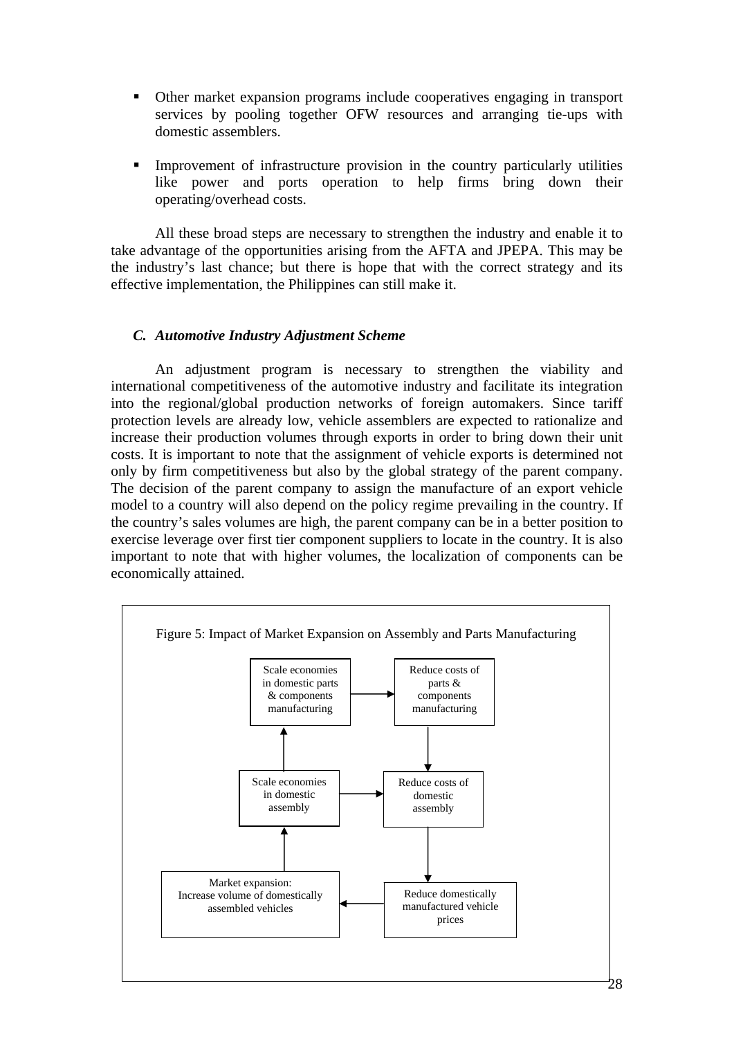- Other market expansion programs include cooperatives engaging in transport services by pooling together OFW resources and arranging tie-ups with domestic assemblers.
- Improvement of infrastructure provision in the country particularly utilities like power and ports operation to help firms bring down their operating/overhead costs.

All these broad steps are necessary to strengthen the industry and enable it to take advantage of the opportunities arising from the AFTA and JPEPA. This may be the industry's last chance; but there is hope that with the correct strategy and its effective implementation, the Philippines can still make it.

## *C. Automotive Industry Adjustment Scheme*

An adjustment program is necessary to strengthen the viability and international competitiveness of the automotive industry and facilitate its integration into the regional/global production networks of foreign automakers. Since tariff protection levels are already low, vehicle assemblers are expected to rationalize and increase their production volumes through exports in order to bring down their unit costs. It is important to note that the assignment of vehicle exports is determined not only by firm competitiveness but also by the global strategy of the parent company. The decision of the parent company to assign the manufacture of an export vehicle model to a country will also depend on the policy regime prevailing in the country. If the country's sales volumes are high, the parent company can be in a better position to exercise leverage over first tier component suppliers to locate in the country. It is also important to note that with higher volumes, the localization of components can be economically attained.

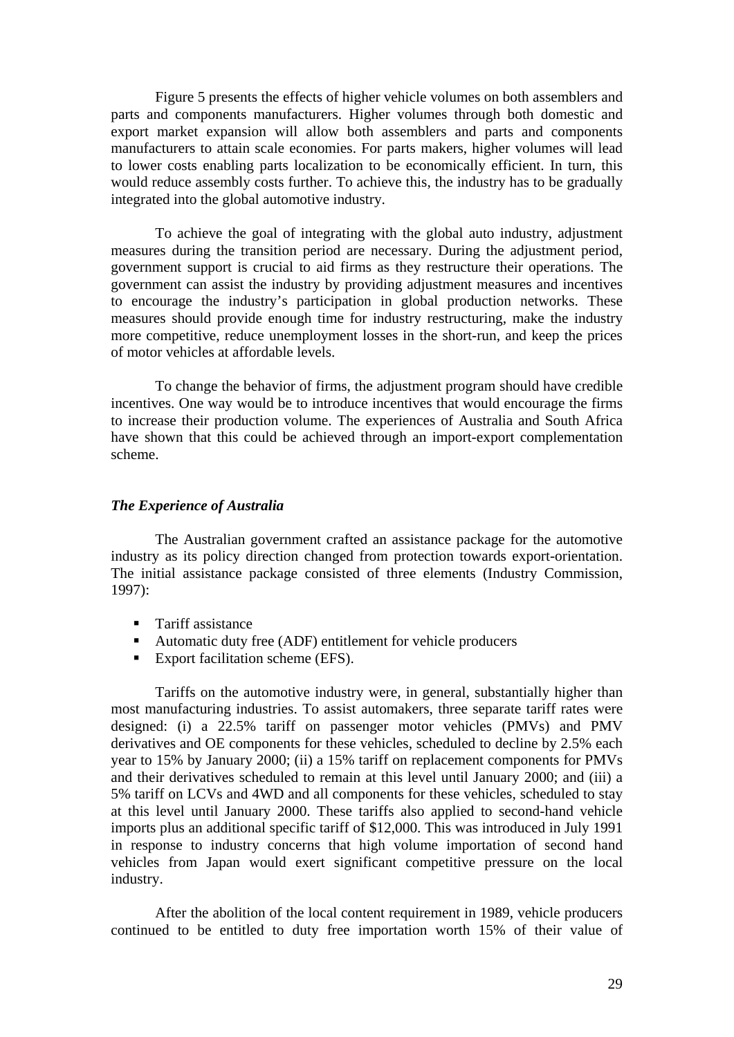Figure 5 presents the effects of higher vehicle volumes on both assemblers and parts and components manufacturers. Higher volumes through both domestic and export market expansion will allow both assemblers and parts and components manufacturers to attain scale economies. For parts makers, higher volumes will lead to lower costs enabling parts localization to be economically efficient. In turn, this would reduce assembly costs further. To achieve this, the industry has to be gradually integrated into the global automotive industry.

To achieve the goal of integrating with the global auto industry, adjustment measures during the transition period are necessary. During the adjustment period, government support is crucial to aid firms as they restructure their operations. The government can assist the industry by providing adjustment measures and incentives to encourage the industry's participation in global production networks. These measures should provide enough time for industry restructuring, make the industry more competitive, reduce unemployment losses in the short-run, and keep the prices of motor vehicles at affordable levels.

To change the behavior of firms, the adjustment program should have credible incentives. One way would be to introduce incentives that would encourage the firms to increase their production volume. The experiences of Australia and South Africa have shown that this could be achieved through an import-export complementation scheme.

# *The Experience of Australia*

The Australian government crafted an assistance package for the automotive industry as its policy direction changed from protection towards export-orientation. The initial assistance package consisted of three elements (Industry Commission, 1997):

- **Tariff assistance**
- Automatic duty free (ADF) entitlement for vehicle producers
- Export facilitation scheme (EFS).

Tariffs on the automotive industry were, in general, substantially higher than most manufacturing industries. To assist automakers, three separate tariff rates were designed: (i) a 22.5% tariff on passenger motor vehicles (PMVs) and PMV derivatives and OE components for these vehicles, scheduled to decline by 2.5% each year to 15% by January 2000; (ii) a 15% tariff on replacement components for PMVs and their derivatives scheduled to remain at this level until January 2000; and (iii) a 5% tariff on LCVs and 4WD and all components for these vehicles, scheduled to stay at this level until January 2000. These tariffs also applied to second-hand vehicle imports plus an additional specific tariff of \$12,000. This was introduced in July 1991 in response to industry concerns that high volume importation of second hand vehicles from Japan would exert significant competitive pressure on the local industry.

After the abolition of the local content requirement in 1989, vehicle producers continued to be entitled to duty free importation worth 15% of their value of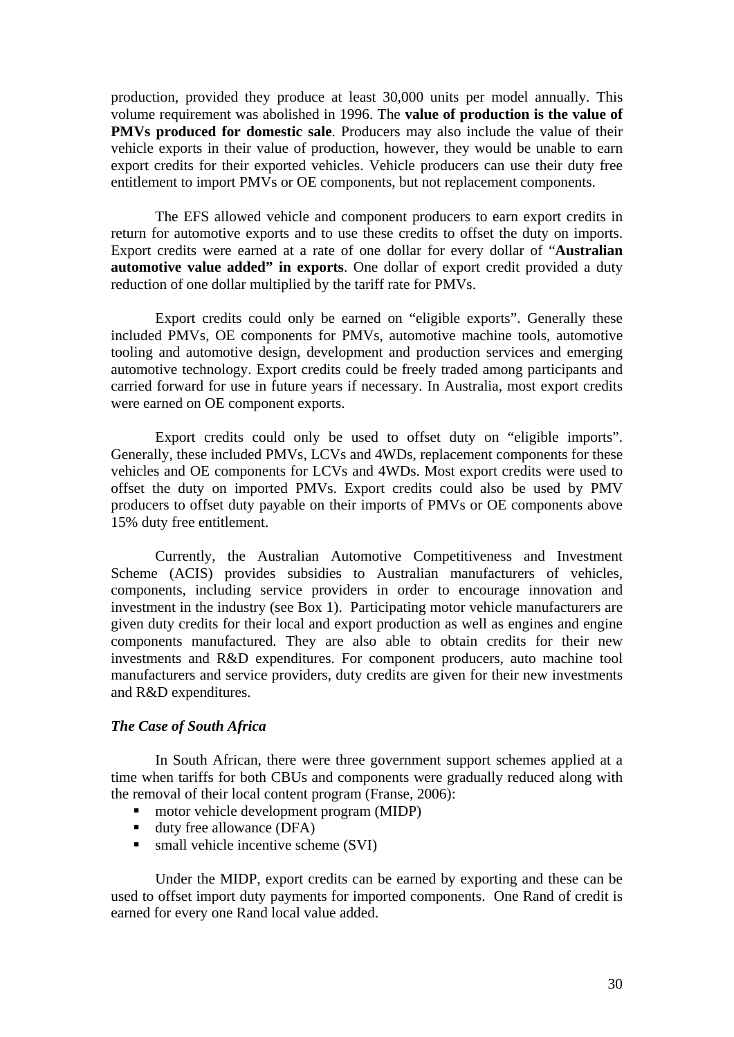production, provided they produce at least 30,000 units per model annually. This volume requirement was abolished in 1996. The **value of production is the value of PMVs produced for domestic sale**. Producers may also include the value of their vehicle exports in their value of production, however, they would be unable to earn export credits for their exported vehicles. Vehicle producers can use their duty free entitlement to import PMVs or OE components, but not replacement components.

The EFS allowed vehicle and component producers to earn export credits in return for automotive exports and to use these credits to offset the duty on imports. Export credits were earned at a rate of one dollar for every dollar of "**Australian automotive value added" in exports**. One dollar of export credit provided a duty reduction of one dollar multiplied by the tariff rate for PMVs.

 Export credits could only be earned on "eligible exports". Generally these included PMVs, OE components for PMVs, automotive machine tools, automotive tooling and automotive design, development and production services and emerging automotive technology. Export credits could be freely traded among participants and carried forward for use in future years if necessary. In Australia, most export credits were earned on OE component exports.

 Export credits could only be used to offset duty on "eligible imports". Generally, these included PMVs, LCVs and 4WDs, replacement components for these vehicles and OE components for LCVs and 4WDs. Most export credits were used to offset the duty on imported PMVs. Export credits could also be used by PMV producers to offset duty payable on their imports of PMVs or OE components above 15% duty free entitlement.

Currently, the Australian Automotive Competitiveness and Investment Scheme (ACIS) provides subsidies to Australian manufacturers of vehicles, components, including service providers in order to encourage innovation and investment in the industry (see Box 1). Participating motor vehicle manufacturers are given duty credits for their local and export production as well as engines and engine components manufactured. They are also able to obtain credits for their new investments and R&D expenditures. For component producers, auto machine tool manufacturers and service providers, duty credits are given for their new investments and R&D expenditures.

#### *The Case of South Africa*

In South African, there were three government support schemes applied at a time when tariffs for both CBUs and components were gradually reduced along with the removal of their local content program (Franse, 2006):

- motor vehicle development program (MIDP)
- duty free allowance (DFA)
- $\blacksquare$  small vehicle incentive scheme (SVI)

Under the MIDP, export credits can be earned by exporting and these can be used to offset import duty payments for imported components. One Rand of credit is earned for every one Rand local value added.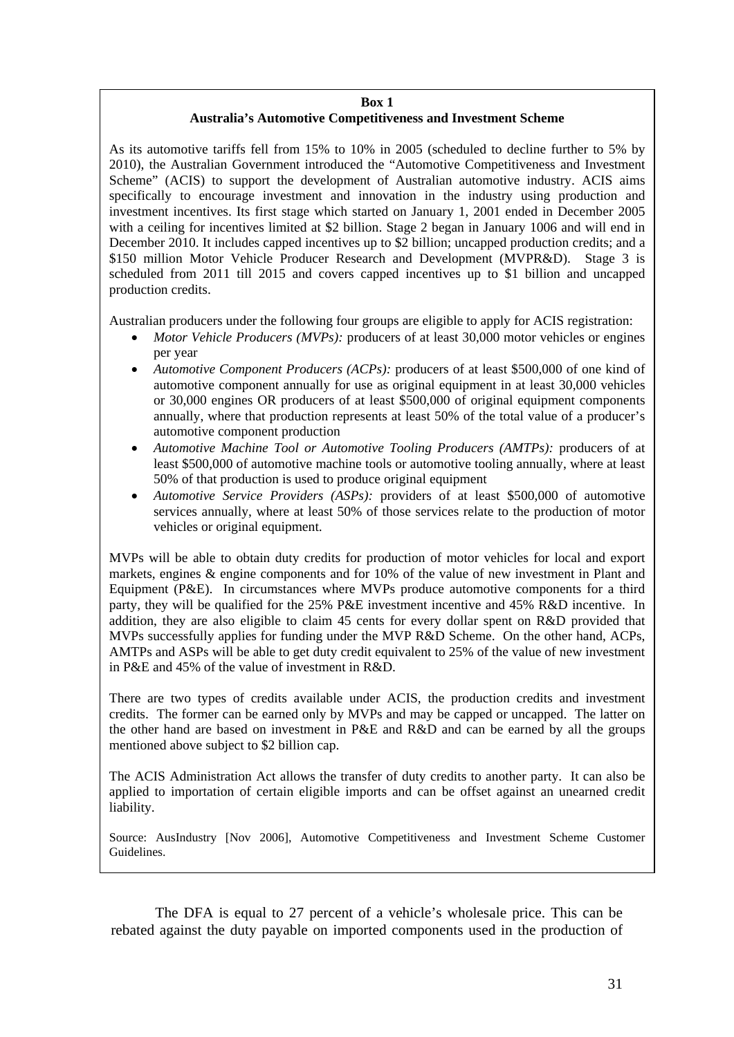#### **Box 1 Australia's Automotive Competitiveness and Investment Scheme**

As its automotive tariffs fell from 15% to 10% in 2005 (scheduled to decline further to 5% by 2010), the Australian Government introduced the "Automotive Competitiveness and Investment Scheme" (ACIS) to support the development of Australian automotive industry. ACIS aims specifically to encourage investment and innovation in the industry using production and investment incentives. Its first stage which started on January 1, 2001 ended in December 2005 with a ceiling for incentives limited at \$2 billion. Stage 2 began in January 1006 and will end in December 2010. It includes capped incentives up to \$2 billion; uncapped production credits; and a \$150 million Motor Vehicle Producer Research and Development (MVPR&D). Stage 3 is scheduled from 2011 till 2015 and covers capped incentives up to \$1 billion and uncapped production credits.

Australian producers under the following four groups are eligible to apply for ACIS registration:

- *Motor Vehicle Producers (MVPs):* producers of at least 30,000 motor vehicles or engines per year
- *Automotive Component Producers (ACPs):* producers of at least \$500,000 of one kind of automotive component annually for use as original equipment in at least 30,000 vehicles or 30,000 engines OR producers of at least \$500,000 of original equipment components annually, where that production represents at least 50% of the total value of a producer's automotive component production
- *Automotive Machine Tool or Automotive Tooling Producers (AMTPs):* producers of at least \$500,000 of automotive machine tools or automotive tooling annually, where at least 50% of that production is used to produce original equipment
- *Automotive Service Providers (ASPs):* providers of at least \$500,000 of automotive services annually, where at least 50% of those services relate to the production of motor vehicles or original equipment.

MVPs will be able to obtain duty credits for production of motor vehicles for local and export markets, engines & engine components and for 10% of the value of new investment in Plant and Equipment (P&E). In circumstances where MVPs produce automotive components for a third party, they will be qualified for the 25% P&E investment incentive and 45% R&D incentive. In addition, they are also eligible to claim 45 cents for every dollar spent on R&D provided that MVPs successfully applies for funding under the MVP R&D Scheme. On the other hand, ACPs, AMTPs and ASPs will be able to get duty credit equivalent to 25% of the value of new investment in P&E and 45% of the value of investment in R&D.

There are two types of credits available under ACIS, the production credits and investment credits. The former can be earned only by MVPs and may be capped or uncapped. The latter on the other hand are based on investment in P&E and R&D and can be earned by all the groups mentioned above subject to \$2 billion cap.

The ACIS Administration Act allows the transfer of duty credits to another party. It can also be applied to importation of certain eligible imports and can be offset against an unearned credit liability.

Source: AusIndustry [Nov 2006], Automotive Competitiveness and Investment Scheme Customer Guidelines.

The DFA is equal to 27 percent of a vehicle's wholesale price. This can be rebated against the duty payable on imported components used in the production of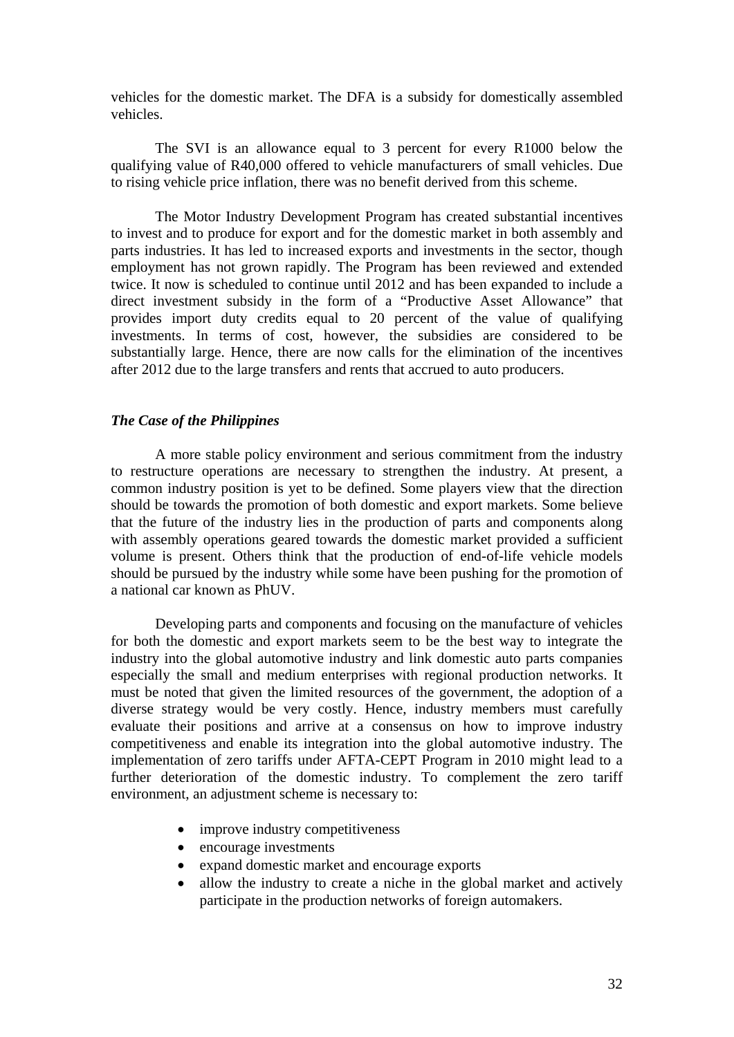vehicles for the domestic market. The DFA is a subsidy for domestically assembled vehicles.

The SVI is an allowance equal to 3 percent for every R1000 below the qualifying value of R40,000 offered to vehicle manufacturers of small vehicles. Due to rising vehicle price inflation, there was no benefit derived from this scheme.

The Motor Industry Development Program has created substantial incentives to invest and to produce for export and for the domestic market in both assembly and parts industries. It has led to increased exports and investments in the sector, though employment has not grown rapidly. The Program has been reviewed and extended twice. It now is scheduled to continue until 2012 and has been expanded to include a direct investment subsidy in the form of a "Productive Asset Allowance" that provides import duty credits equal to 20 percent of the value of qualifying investments. In terms of cost, however, the subsidies are considered to be substantially large. Hence, there are now calls for the elimination of the incentives after 2012 due to the large transfers and rents that accrued to auto producers.

#### *The Case of the Philippines*

A more stable policy environment and serious commitment from the industry to restructure operations are necessary to strengthen the industry. At present, a common industry position is yet to be defined. Some players view that the direction should be towards the promotion of both domestic and export markets. Some believe that the future of the industry lies in the production of parts and components along with assembly operations geared towards the domestic market provided a sufficient volume is present. Others think that the production of end-of-life vehicle models should be pursued by the industry while some have been pushing for the promotion of a national car known as PhUV.

Developing parts and components and focusing on the manufacture of vehicles for both the domestic and export markets seem to be the best way to integrate the industry into the global automotive industry and link domestic auto parts companies especially the small and medium enterprises with regional production networks. It must be noted that given the limited resources of the government, the adoption of a diverse strategy would be very costly. Hence, industry members must carefully evaluate their positions and arrive at a consensus on how to improve industry competitiveness and enable its integration into the global automotive industry. The implementation of zero tariffs under AFTA-CEPT Program in 2010 might lead to a further deterioration of the domestic industry. To complement the zero tariff environment, an adjustment scheme is necessary to:

- improve industry competitiveness
- encourage investments
- expand domestic market and encourage exports
- allow the industry to create a niche in the global market and actively participate in the production networks of foreign automakers.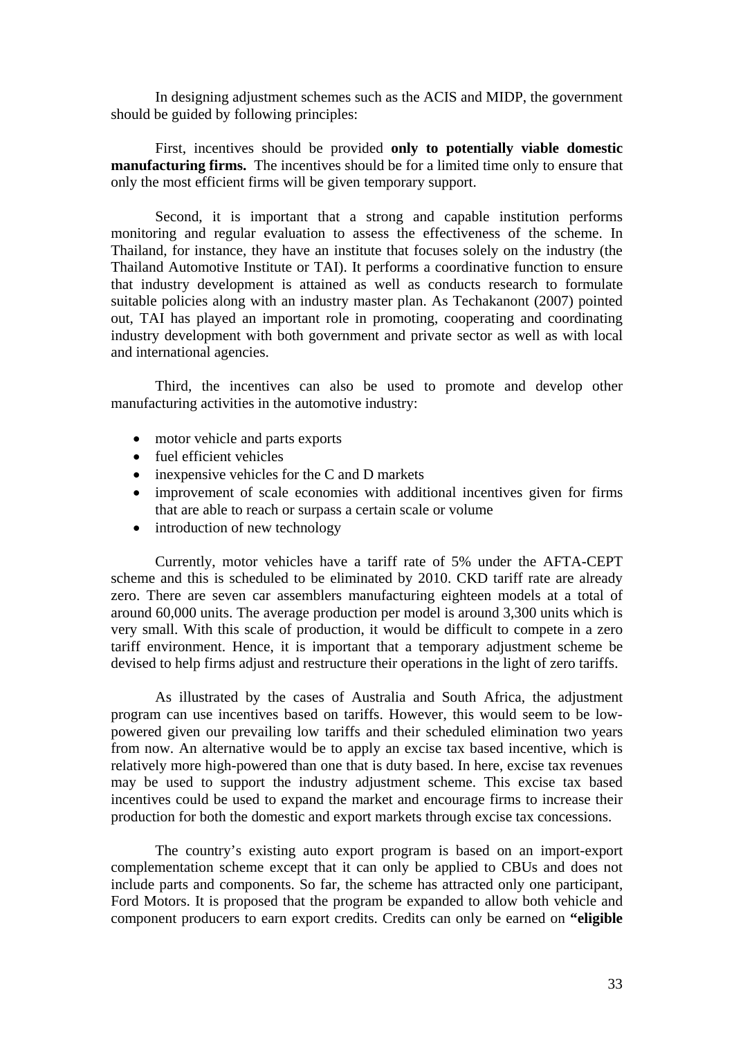In designing adjustment schemes such as the ACIS and MIDP, the government should be guided by following principles:

First, incentives should be provided **only to potentially viable domestic manufacturing firms.** The incentives should be for a limited time only to ensure that only the most efficient firms will be given temporary support.

Second, it is important that a strong and capable institution performs monitoring and regular evaluation to assess the effectiveness of the scheme. In Thailand, for instance, they have an institute that focuses solely on the industry (the Thailand Automotive Institute or TAI). It performs a coordinative function to ensure that industry development is attained as well as conducts research to formulate suitable policies along with an industry master plan. As Techakanont (2007) pointed out, TAI has played an important role in promoting, cooperating and coordinating industry development with both government and private sector as well as with local and international agencies.

Third, the incentives can also be used to promote and develop other manufacturing activities in the automotive industry:

- motor vehicle and parts exports
- fuel efficient vehicles
- inexpensive vehicles for the C and D markets
- improvement of scale economies with additional incentives given for firms that are able to reach or surpass a certain scale or volume
- introduction of new technology

Currently, motor vehicles have a tariff rate of 5% under the AFTA-CEPT scheme and this is scheduled to be eliminated by 2010. CKD tariff rate are already zero. There are seven car assemblers manufacturing eighteen models at a total of around 60,000 units. The average production per model is around 3,300 units which is very small. With this scale of production, it would be difficult to compete in a zero tariff environment. Hence, it is important that a temporary adjustment scheme be devised to help firms adjust and restructure their operations in the light of zero tariffs.

As illustrated by the cases of Australia and South Africa, the adjustment program can use incentives based on tariffs. However, this would seem to be lowpowered given our prevailing low tariffs and their scheduled elimination two years from now. An alternative would be to apply an excise tax based incentive, which is relatively more high-powered than one that is duty based. In here, excise tax revenues may be used to support the industry adjustment scheme. This excise tax based incentives could be used to expand the market and encourage firms to increase their production for both the domestic and export markets through excise tax concessions.

The country's existing auto export program is based on an import-export complementation scheme except that it can only be applied to CBUs and does not include parts and components. So far, the scheme has attracted only one participant, Ford Motors. It is proposed that the program be expanded to allow both vehicle and component producers to earn export credits. Credits can only be earned on **"eligible**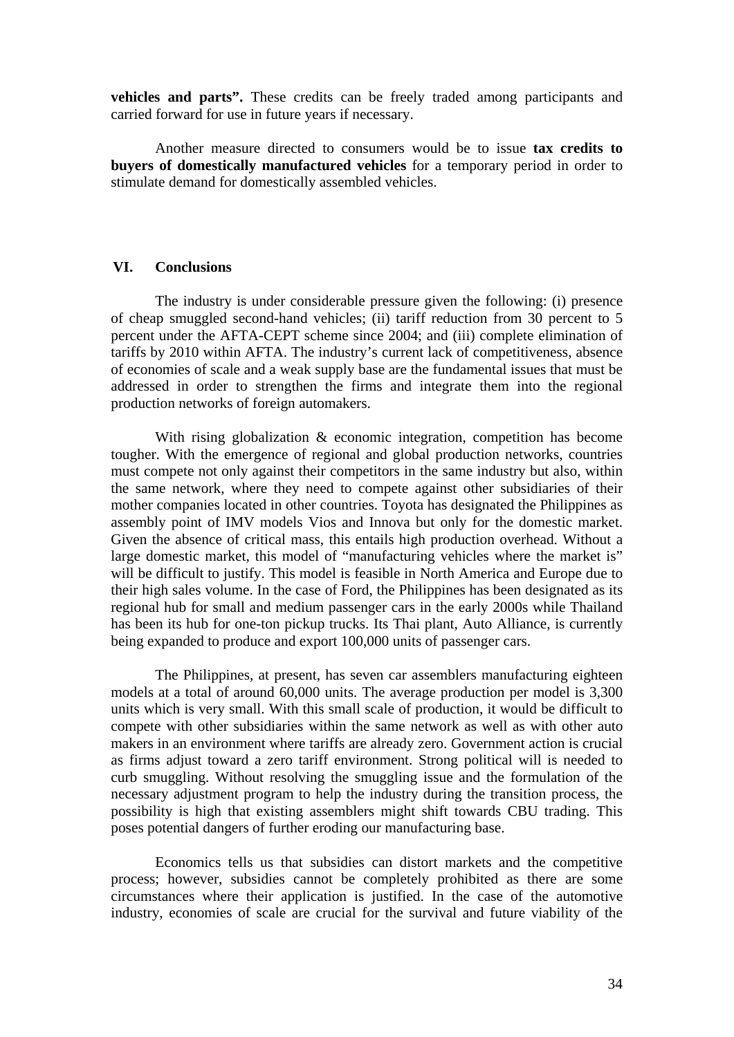**vehicles and parts".** These credits can be freely traded among participants and carried forward for use in future years if necessary.

Another measure directed to consumers would be to issue **tax credits to buyers of domestically manufactured vehicles** for a temporary period in order to stimulate demand for domestically assembled vehicles.

# **VI. Conclusions**

The industry is under considerable pressure given the following: (i) presence of cheap smuggled second-hand vehicles; (ii) tariff reduction from 30 percent to 5 percent under the AFTA-CEPT scheme since 2004; and (iii) complete elimination of tariffs by 2010 within AFTA. The industry's current lack of competitiveness, absence of economies of scale and a weak supply base are the fundamental issues that must be addressed in order to strengthen the firms and integrate them into the regional production networks of foreign automakers.

With rising globalization & economic integration, competition has become tougher. With the emergence of regional and global production networks, countries must compete not only against their competitors in the same industry but also, within the same network, where they need to compete against other subsidiaries of their mother companies located in other countries. Toyota has designated the Philippines as assembly point of IMV models Vios and Innova but only for the domestic market. Given the absence of critical mass, this entails high production overhead. Without a large domestic market, this model of "manufacturing vehicles where the market is" will be difficult to justify. This model is feasible in North America and Europe due to their high sales volume. In the case of Ford, the Philippines has been designated as its regional hub for small and medium passenger cars in the early 2000s while Thailand has been its hub for one-ton pickup trucks. Its Thai plant, Auto Alliance, is currently being expanded to produce and export 100,000 units of passenger cars.

The Philippines, at present, has seven car assemblers manufacturing eighteen models at a total of around 60,000 units. The average production per model is 3,300 units which is very small. With this small scale of production, it would be difficult to compete with other subsidiaries within the same network as well as with other auto makers in an environment where tariffs are already zero. Government action is crucial as firms adjust toward a zero tariff environment. Strong political will is needed to curb smuggling. Without resolving the smuggling issue and the formulation of the necessary adjustment program to help the industry during the transition process, the possibility is high that existing assemblers might shift towards CBU trading. This poses potential dangers of further eroding our manufacturing base.

Economics tells us that subsidies can distort markets and the competitive process; however, subsidies cannot be completely prohibited as there are some circumstances where their application is justified. In the case of the automotive industry, economies of scale are crucial for the survival and future viability of the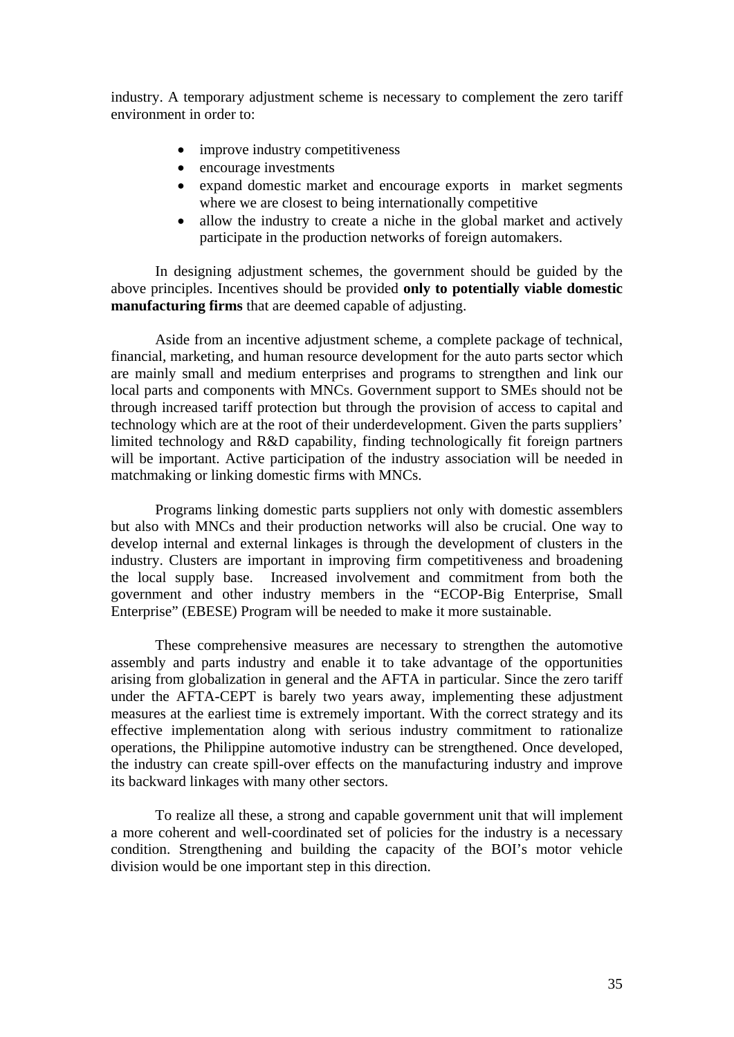industry. A temporary adjustment scheme is necessary to complement the zero tariff environment in order to:

- improve industry competitiveness
- encourage investments
- expand domestic market and encourage exports in market segments where we are closest to being internationally competitive
- allow the industry to create a niche in the global market and actively participate in the production networks of foreign automakers.

In designing adjustment schemes, the government should be guided by the above principles. Incentives should be provided **only to potentially viable domestic manufacturing firms** that are deemed capable of adjusting.

Aside from an incentive adjustment scheme, a complete package of technical, financial, marketing, and human resource development for the auto parts sector which are mainly small and medium enterprises and programs to strengthen and link our local parts and components with MNCs. Government support to SMEs should not be through increased tariff protection but through the provision of access to capital and technology which are at the root of their underdevelopment. Given the parts suppliers' limited technology and R&D capability, finding technologically fit foreign partners will be important. Active participation of the industry association will be needed in matchmaking or linking domestic firms with MNCs.

Programs linking domestic parts suppliers not only with domestic assemblers but also with MNCs and their production networks will also be crucial. One way to develop internal and external linkages is through the development of clusters in the industry. Clusters are important in improving firm competitiveness and broadening the local supply base. Increased involvement and commitment from both the government and other industry members in the "ECOP-Big Enterprise, Small Enterprise" (EBESE) Program will be needed to make it more sustainable.

These comprehensive measures are necessary to strengthen the automotive assembly and parts industry and enable it to take advantage of the opportunities arising from globalization in general and the AFTA in particular. Since the zero tariff under the AFTA-CEPT is barely two years away, implementing these adjustment measures at the earliest time is extremely important. With the correct strategy and its effective implementation along with serious industry commitment to rationalize operations, the Philippine automotive industry can be strengthened. Once developed, the industry can create spill-over effects on the manufacturing industry and improve its backward linkages with many other sectors.

To realize all these, a strong and capable government unit that will implement a more coherent and well-coordinated set of policies for the industry is a necessary condition. Strengthening and building the capacity of the BOI's motor vehicle division would be one important step in this direction.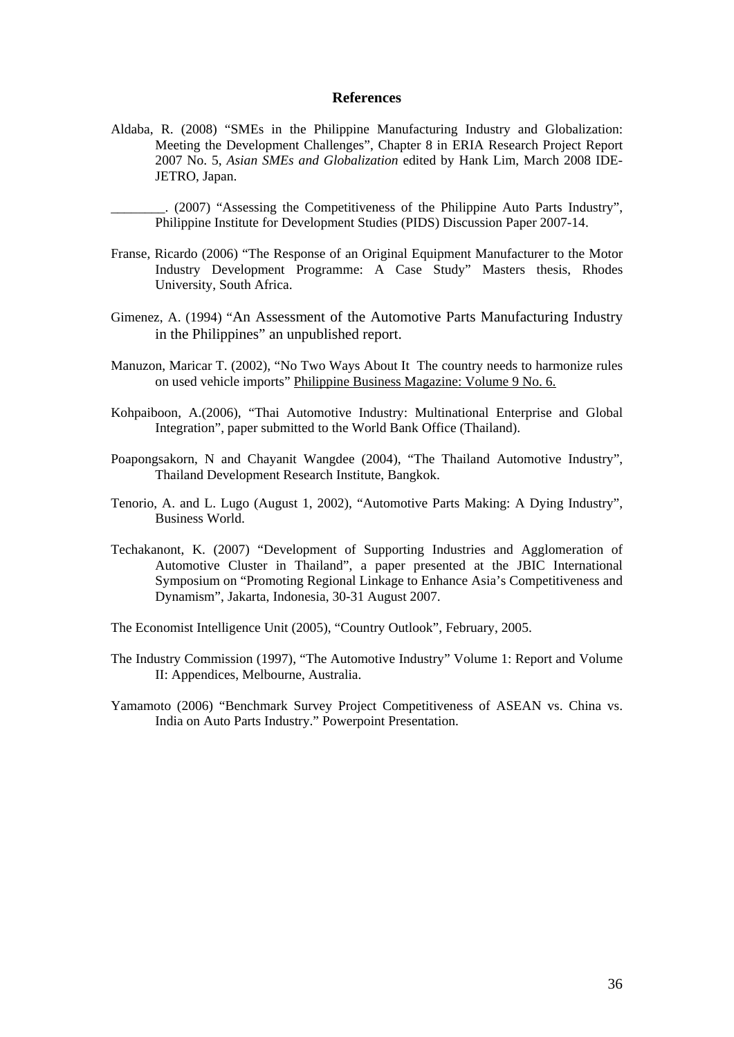#### **References**

- Aldaba, R. (2008) "SMEs in the Philippine Manufacturing Industry and Globalization: Meeting the Development Challenges", Chapter 8 in ERIA Research Project Report 2007 No. 5, *Asian SMEs and Globalization* edited by Hank Lim, March 2008 IDE-JETRO, Japan.
	- \_\_\_\_\_\_\_\_. (2007) "Assessing the Competitiveness of the Philippine Auto Parts Industry", Philippine Institute for Development Studies (PIDS) Discussion Paper 2007-14.
- Franse, Ricardo (2006) "The Response of an Original Equipment Manufacturer to the Motor Industry Development Programme: A Case Study" Masters thesis, Rhodes University, South Africa.
- Gimenez, A. (1994) "An Assessment of the Automotive Parts Manufacturing Industry in the Philippines" an unpublished report.
- Manuzon, Maricar T. (2002), "No Two Ways About It The country needs to harmonize rules on used vehicle imports" Philippine Business Magazine: Volume 9 No. 6.
- Kohpaiboon, A.(2006), "Thai Automotive Industry: Multinational Enterprise and Global Integration", paper submitted to the World Bank Office (Thailand).
- Poapongsakorn, N and Chayanit Wangdee (2004), "The Thailand Automotive Industry", Thailand Development Research Institute, Bangkok.
- Tenorio, A. and L. Lugo (August 1, 2002), "Automotive Parts Making: A Dying Industry", Business World.
- Techakanont, K. (2007) "Development of Supporting Industries and Agglomeration of Automotive Cluster in Thailand", a paper presented at the JBIC International Symposium on "Promoting Regional Linkage to Enhance Asia's Competitiveness and Dynamism", Jakarta, Indonesia, 30-31 August 2007.
- The Economist Intelligence Unit (2005), "Country Outlook", February, 2005.
- The Industry Commission (1997), "The Automotive Industry" Volume 1: Report and Volume II: Appendices, Melbourne, Australia.
- Yamamoto (2006) "Benchmark Survey Project Competitiveness of ASEAN vs. China vs. India on Auto Parts Industry." Powerpoint Presentation.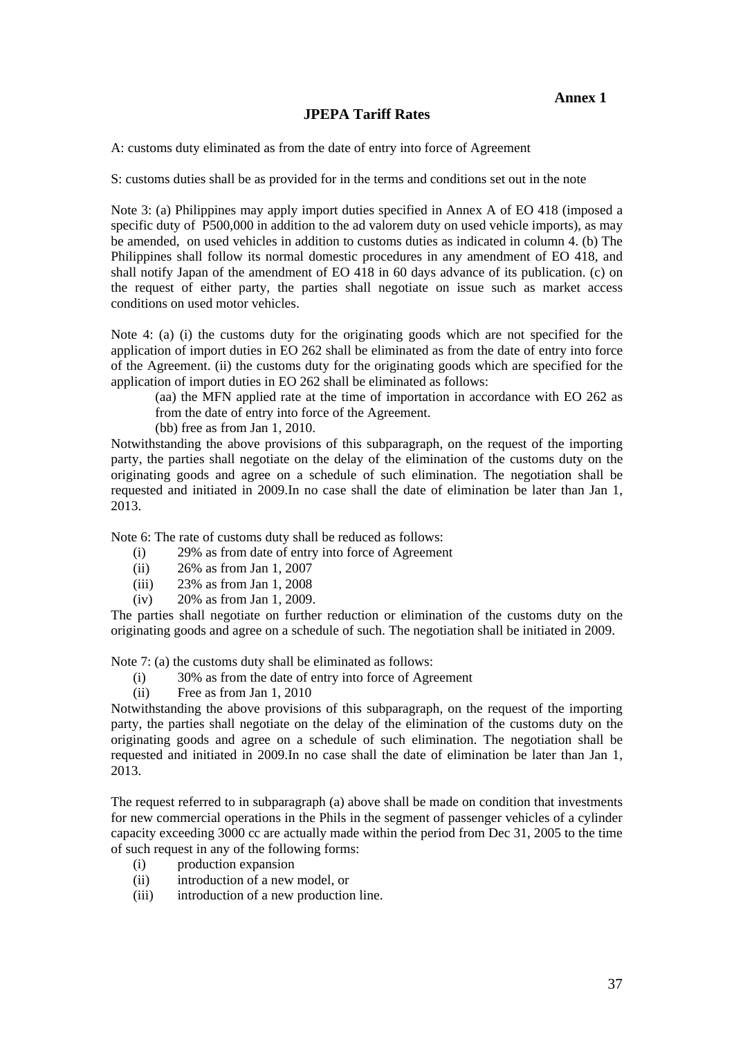#### **JPEPA Tariff Rates**

A: customs duty eliminated as from the date of entry into force of Agreement

S: customs duties shall be as provided for in the terms and conditions set out in the note

Note 3: (a) Philippines may apply import duties specified in Annex A of EO 418 (imposed a specific duty of P500,000 in addition to the ad valorem duty on used vehicle imports), as may be amended, on used vehicles in addition to customs duties as indicated in column 4. (b) The Philippines shall follow its normal domestic procedures in any amendment of EO 418, and shall notify Japan of the amendment of EO 418 in 60 days advance of its publication. (c) on the request of either party, the parties shall negotiate on issue such as market access conditions on used motor vehicles.

Note 4: (a) (i) the customs duty for the originating goods which are not specified for the application of import duties in EO 262 shall be eliminated as from the date of entry into force of the Agreement. (ii) the customs duty for the originating goods which are specified for the application of import duties in EO 262 shall be eliminated as follows:

(aa) the MFN applied rate at the time of importation in accordance with EO 262 as from the date of entry into force of the Agreement.

(bb) free as from Jan 1, 2010.

Notwithstanding the above provisions of this subparagraph, on the request of the importing party, the parties shall negotiate on the delay of the elimination of the customs duty on the originating goods and agree on a schedule of such elimination. The negotiation shall be requested and initiated in 2009.In no case shall the date of elimination be later than Jan 1, 2013.

Note 6: The rate of customs duty shall be reduced as follows:

- (i) 29% as from date of entry into force of Agreement
- (ii) 26% as from Jan 1, 2007
- (iii) 23% as from Jan 1, 2008
- (iv) 20% as from Jan 1, 2009.

The parties shall negotiate on further reduction or elimination of the customs duty on the originating goods and agree on a schedule of such. The negotiation shall be initiated in 2009.

Note 7: (a) the customs duty shall be eliminated as follows:

- (i) 30% as from the date of entry into force of Agreement
- (ii) Free as from Jan 1, 2010

Notwithstanding the above provisions of this subparagraph, on the request of the importing party, the parties shall negotiate on the delay of the elimination of the customs duty on the originating goods and agree on a schedule of such elimination. The negotiation shall be requested and initiated in 2009.In no case shall the date of elimination be later than Jan 1, 2013.

The request referred to in subparagraph (a) above shall be made on condition that investments for new commercial operations in the Phils in the segment of passenger vehicles of a cylinder capacity exceeding 3000 cc are actually made within the period from Dec 31, 2005 to the time of such request in any of the following forms:

- (i) production expansion
- (ii) introduction of a new model, or
- (iii) introduction of a new production line.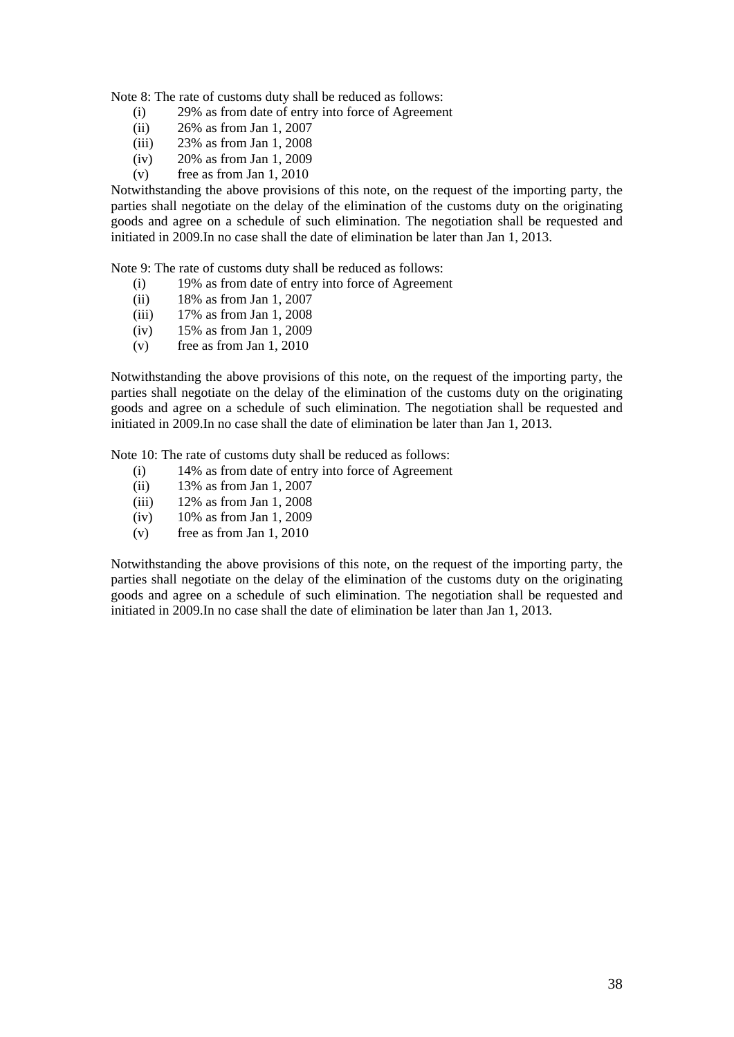Note 8: The rate of customs duty shall be reduced as follows:

- (i) 29% as from date of entry into force of Agreement
- (ii) 26% as from Jan 1, 2007
- (iii) 23% as from Jan 1, 2008
- (iv) 20% as from Jan 1, 2009
- (v) free as from Jan 1, 2010

Notwithstanding the above provisions of this note, on the request of the importing party, the parties shall negotiate on the delay of the elimination of the customs duty on the originating goods and agree on a schedule of such elimination. The negotiation shall be requested and initiated in 2009.In no case shall the date of elimination be later than Jan 1, 2013.

Note 9: The rate of customs duty shall be reduced as follows:

- (i) 19% as from date of entry into force of Agreement
- (ii) 18% as from Jan 1, 2007
- (iii) 17% as from Jan 1, 2008
- (iv) 15% as from Jan 1, 2009
- (v) free as from Jan 1, 2010

Notwithstanding the above provisions of this note, on the request of the importing party, the parties shall negotiate on the delay of the elimination of the customs duty on the originating goods and agree on a schedule of such elimination. The negotiation shall be requested and initiated in 2009.In no case shall the date of elimination be later than Jan 1, 2013.

Note 10: The rate of customs duty shall be reduced as follows:

- (i) 14% as from date of entry into force of Agreement
- (ii) 13% as from Jan 1, 2007
- (iii) 12% as from Jan 1, 2008
- (iv) 10% as from Jan 1, 2009
- (v) free as from Jan 1, 2010

Notwithstanding the above provisions of this note, on the request of the importing party, the parties shall negotiate on the delay of the elimination of the customs duty on the originating goods and agree on a schedule of such elimination. The negotiation shall be requested and initiated in 2009.In no case shall the date of elimination be later than Jan 1, 2013.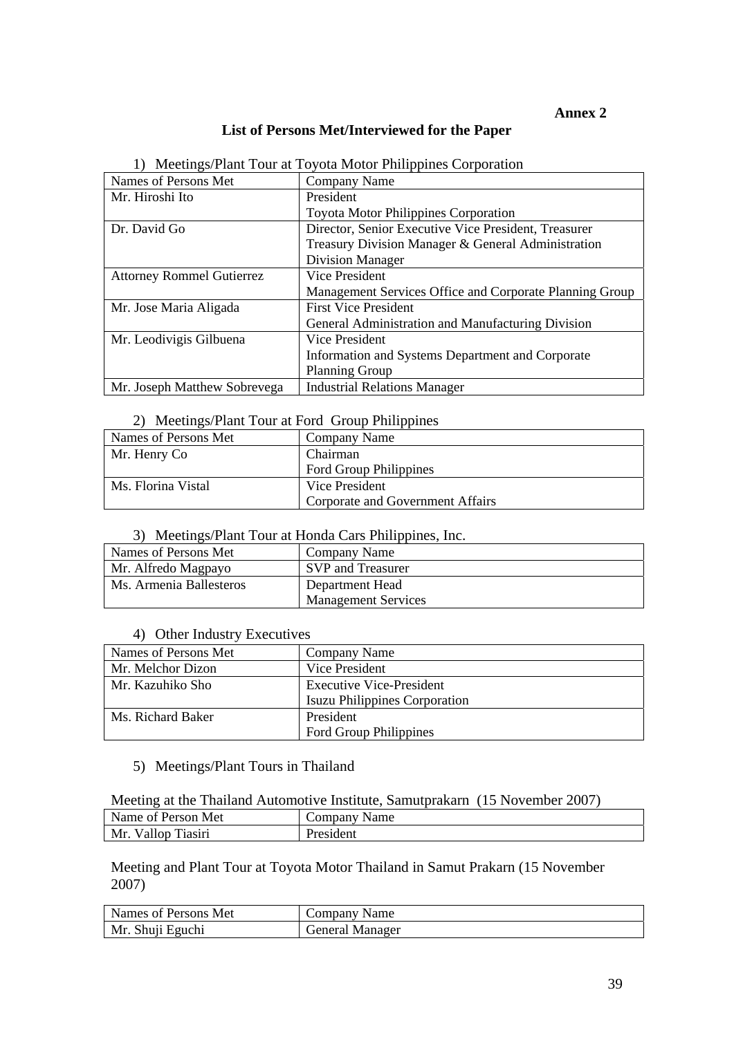## **Annex 2**

# **List of Persons Met/Interviewed for the Paper**

|                                  | <u>Necturies/Frant Four</u> at Foyota Motor Finippines Corporation |
|----------------------------------|--------------------------------------------------------------------|
| Names of Persons Met             | Company Name                                                       |
| Mr. Hiroshi Ito                  | President                                                          |
|                                  | <b>Toyota Motor Philippines Corporation</b>                        |
| Dr. David Go                     | Director, Senior Executive Vice President, Treasurer               |
|                                  | Treasury Division Manager & General Administration                 |
|                                  | <b>Division Manager</b>                                            |
| <b>Attorney Rommel Gutierrez</b> | Vice President                                                     |
|                                  | Management Services Office and Corporate Planning Group            |
| Mr. Jose Maria Aligada           | <b>First Vice President</b>                                        |
|                                  | General Administration and Manufacturing Division                  |
| Mr. Leodivigis Gilbuena          | Vice President                                                     |
|                                  | Information and Systems Department and Corporate                   |
|                                  | <b>Planning Group</b>                                              |
| Mr. Joseph Matthew Sobrevega     | <b>Industrial Relations Manager</b>                                |

#### 1) Meetings/Plant Tour at Toyota Motor Philippines Corporation

## 2) Meetings/Plant Tour at Ford Group Philippines

| $1.1.0.00111 \pm 0.00111$ $1.0.0011$ $1.0011$ $1.0011$ $1.0011$ $1.0011$ $1.0011$ |                                  |
|-----------------------------------------------------------------------------------|----------------------------------|
| Names of Persons Met                                                              | Company Name                     |
| Mr. Henry Co                                                                      | Chairman                         |
|                                                                                   | <b>Ford Group Philippines</b>    |
| Ms. Florina Vistal                                                                | Vice President                   |
|                                                                                   | Corporate and Government Affairs |

# 3) Meetings/Plant Tour at Honda Cars Philippines, Inc.

| Names of Persons Met    | Company Name               |
|-------------------------|----------------------------|
| Mr. Alfredo Magpayo     | SVP and Treasurer          |
| Ms. Armenia Ballesteros | Department Head            |
|                         | <b>Management Services</b> |

#### 4) Other Industry Executives

| Names of Persons Met | Company Name                         |
|----------------------|--------------------------------------|
| Mr. Melchor Dizon    | Vice President                       |
| Mr. Kazuhiko Sho     | <b>Executive Vice-President</b>      |
|                      | <b>Isuzu Philippines Corporation</b> |
| Ms. Richard Baker    | President                            |
|                      | <b>Ford Group Philippines</b>        |

# 5) Meetings/Plant Tours in Thailand

Meeting at the Thailand Automotive Institute, Samutprakarn (15 November 2007)

| Name of Person Met    | $\sim$ ompany $\sim$<br>Name |
|-----------------------|------------------------------|
| Vallop Tiasiri<br>Mr. | President                    |

Meeting and Plant Tour at Toyota Motor Thailand in Samut Prakarn (15 November 2007)

| Names of Persons Met | Company Name           |
|----------------------|------------------------|
| Mr. Shuji Eguchi     | <b>General Manager</b> |